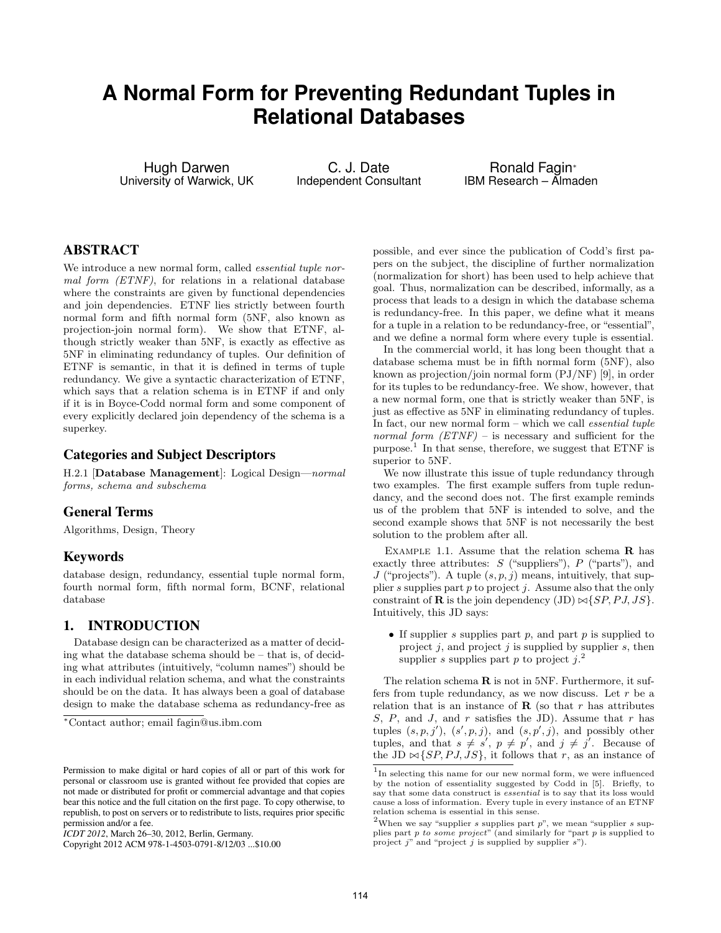# **A Normal Form for Preventing Redundant Tuples in Relational Databases**

Hugh Darwen University of Warwick, UK

C. J. Date Independent Consultant

Ronald Fagin<sup>∗</sup> IBM Research – Almaden

# ABSTRACT

We introduce a new normal form, called *essential tuple nor*mal form (ETNF), for relations in a relational database where the constraints are given by functional dependencies and join dependencies. ETNF lies strictly between fourth normal form and fifth normal form (5NF, also known as projection-join normal form). We show that ETNF, although strictly weaker than 5NF, is exactly as effective as 5NF in eliminating redundancy of tuples. Our definition of ETNF is semantic, in that it is defined in terms of tuple redundancy. We give a syntactic characterization of ETNF, which says that a relation schema is in ETNF if and only if it is in Boyce-Codd normal form and some component of every explicitly declared join dependency of the schema is a superkey.

## Categories and Subject Descriptors

H.2.1 [Database Management]: Logical Design—normal forms, schema and subschema

## General Terms

Algorithms, Design, Theory

## Keywords

database design, redundancy, essential tuple normal form, fourth normal form, fifth normal form, BCNF, relational database

## 1. INTRODUCTION

Database design can be characterized as a matter of deciding what the database schema should be – that is, of deciding what attributes (intuitively, "column names") should be in each individual relation schema, and what the constraints should be on the data. It has always been a goal of database design to make the database schema as redundancy-free as

possible, and ever since the publication of Codd's first papers on the subject, the discipline of further normalization (normalization for short) has been used to help achieve that goal. Thus, normalization can be described, informally, as a process that leads to a design in which the database schema is redundancy-free. In this paper, we define what it means for a tuple in a relation to be redundancy-free, or "essential", and we define a normal form where every tuple is essential.

In the commercial world, it has long been thought that a database schema must be in fifth normal form (5NF), also known as projection/join normal form (PJ/NF) [9], in order for its tuples to be redundancy-free. We show, however, that a new normal form, one that is strictly weaker than 5NF, is just as effective as 5NF in eliminating redundancy of tuples. In fact, our new normal form  $-$  which we call *essential tuple* normal form  $(ETNF)$  – is necessary and sufficient for the purpose.<sup>1</sup> In that sense, therefore, we suggest that ETNF is superior to 5NF.

We now illustrate this issue of tuple redundancy through two examples. The first example suffers from tuple redundancy, and the second does not. The first example reminds us of the problem that 5NF is intended to solve, and the second example shows that 5NF is not necessarily the best solution to the problem after all.

EXAMPLE 1.1. Assume that the relation schema  $\bf{R}$  has exactly three attributes:  $S$  ("suppliers"),  $P$  ("parts"), and J ("projects"). A tuple  $(s, p, j)$  means, intuitively, that supplier s supplies part p to project j. Assume also that the only constraint of **R** is the join dependency (JD)  $\bowtie$  {SP, P J, JS}. Intuitively, this JD says:

• If supplier s supplies part  $p$ , and part  $p$  is supplied to project  $j$ , and project  $j$  is supplied by supplier  $s$ , then supplier s supplies part p to project  $j$ .<sup>2</sup>

The relation schema  $\bf{R}$  is not in 5NF. Furthermore, it suffers from tuple redundancy, as we now discuss. Let  $r$  be a relation that is an instance of  $\bf{R}$  (so that r has attributes S, P, and J, and r satisfies the JD). Assume that r has tuples  $(s, p, j')$ ,  $(s', p, j)$ , and  $(s, p', j)$ , and possibly other tuples, and that  $s \neq s'$ ,  $p \neq p'$ , and  $j \neq j'$ . Because of the JD  $\bowtie$  {*SP*, *PJ*, *JS*}, it follows that r, as an instance of

<sup>∗</sup>Contact author; email fagin@us.ibm.com

Permission to make digital or hard copies of all or part of this work for personal or classroom use is granted without fee provided that copies are not made or distributed for profit or commercial advantage and that copies bear this notice and the full citation on the first page. To copy otherwise, to republish, to post on servers or to redistribute to lists, requires prior specific permission and/or a fee.

*ICDT 2012*, March 26–30, 2012, Berlin, Germany.

Copyright 2012 ACM 978-1-4503-0791-8/12/03 ...\$10.00

<sup>&</sup>lt;sup>1</sup>In selecting this name for our new normal form, we were influenced by the notion of essentiality suggested by Codd in [5]. Briefly, to say that some data construct is essential is to say that its loss would cause a loss of information. Every tuple in every instance of an ETNF relation schema is essential in this sense.

<sup>&</sup>lt;sup>2</sup>When we say "supplier s supplies part  $p$ ", we mean "supplier s supplies part  $p$  to some project" (and similarly for "part  $p$  is supplied to project  $j''$  and "project  $j$  is supplied by supplier  $s$ ").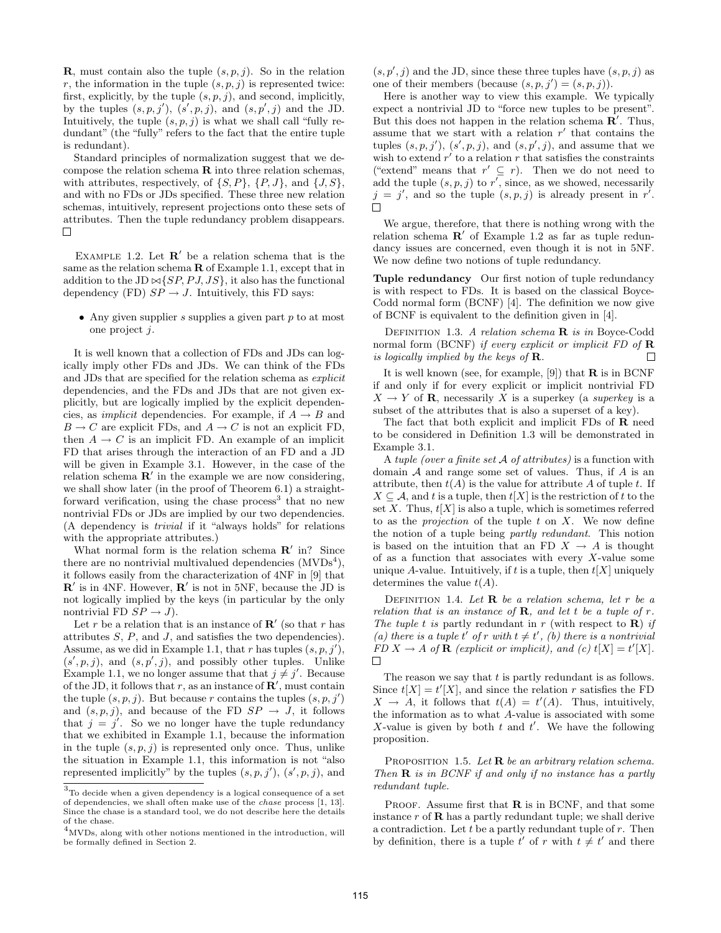**R**, must contain also the tuple  $(s, p, j)$ . So in the relation r, the information in the tuple  $(s, p, j)$  is represented twice: first, explicitly, by the tuple  $(s, p, j)$ , and second, implicitly, by the tuples  $(s, p, j')$ ,  $(s', p, j)$ , and  $(s, p', j)$  and the JD. Intuitively, the tuple  $(s, p, j)$  is what we shall call "fully redundant" (the "fully" refers to the fact that the entire tuple is redundant).

Standard principles of normalization suggest that we decompose the relation schema  $\bf{R}$  into three relation schemas, with attributes, respectively, of  $\{S, P\}$ ,  $\{P, J\}$ , and  $\{J, S\}$ , and with no FDs or JDs specified. These three new relation schemas, intuitively, represent projections onto these sets of attributes. Then the tuple redundancy problem disappears. П

EXAMPLE 1.2. Let  $\mathbb{R}'$  be a relation schema that is the same as the relation schema  $\bf{R}$  of Example 1.1, except that in addition to the JD  $\bowtie$  {*SP, PJ, JS*}, it also has the functional dependency (FD)  $SP \rightarrow J$ . Intuitively, this FD says:

• Any given supplier s supplies a given part  $p$  to at most one project j.

It is well known that a collection of FDs and JDs can logically imply other FDs and JDs. We can think of the FDs and JDs that are specified for the relation schema as explicit dependencies, and the FDs and JDs that are not given explicitly, but are logically implied by the explicit dependencies, as *implicit* dependencies. For example, if  $A \rightarrow B$  and  $B \to C$  are explicit FDs, and  $A \to C$  is not an explicit FD, then  $A \rightarrow C$  is an implicit FD. An example of an implicit FD that arises through the interaction of an FD and a JD will be given in Example 3.1. However, in the case of the relation schema  $\mathbb{R}'$  in the example we are now considering, we shall show later (in the proof of Theorem 6.1) a straightforward verification, using the chase process<sup>3</sup> that no new nontrivial FDs or JDs are implied by our two dependencies. (A dependency is trivial if it "always holds" for relations with the appropriate attributes.)

What normal form is the relation schema  $\mathbb{R}'$  in? Since there are no nontrivial multivalued dependencies  $(MVDs<sup>4</sup>)$ , it follows easily from the characterization of 4NF in [9] that  $\mathbb{R}^{\prime}$  is in 4NF. However,  $\mathbb{R}^{\prime}$  is not in 5NF, because the JD is not logically implied by the keys (in particular by the only nontrivial FD  $SP \rightarrow J$ ).

Let r be a relation that is an instance of  $\mathbb{R}'$  (so that r has attributes  $S$ ,  $P$ , and  $J$ , and satisfies the two dependencies). Assume, as we did in Example 1.1, that r has tuples  $(s, p, j'),$  $(s', p, j)$ , and  $(s, p', j)$ , and possibly other tuples. Unlike Example 1.1, we no longer assume that that  $j \neq j'$ . Because of the JD, it follows that r, as an instance of  $\mathbb{R}^{\prime}$ , must contain the tuple  $(s, p, j)$ . But because r contains the tuples  $(s, p, j')$ and  $(s, p, j)$ , and because of the FD  $SP \rightarrow J$ , it follows that  $j = j'$ . So we no longer have the tuple redundancy that we exhibited in Example 1.1, because the information in the tuple  $(s, p, j)$  is represented only once. Thus, unlike the situation in Example 1.1, this information is not "also represented implicitly" by the tuples  $(s, p, j')$ ,  $(s', p, j)$ , and

 $(s, p', j)$  and the JD, since these three tuples have  $(s, p, j)$  as one of their members (because  $(s, p, j') = (s, p, j)$ ).

Here is another way to view this example. We typically expect a nontrivial JD to "force new tuples to be present". But this does not happen in the relation schema  $\mathbf{R}'$ . Thus, assume that we start with a relation  $r'$  that contains the tuples  $(s, p, j')$ ,  $(s', p, j)$ , and  $(s, p', j)$ , and assume that we wish to extend  $r'$  to a relation r that satisfies the constraints ("extend" means that  $r' \subseteq r$ ). Then we do not need to add the tuple  $(s, p, j)$  to r', since, as we showed, necessarily  $j = j'$ , and so the tuple  $(s, p, j)$  is already present in r'.  $\Box$ 

We argue, therefore, that there is nothing wrong with the relation schema  $\mathbb{R}'$  of Example 1.2 as far as tuple redundancy issues are concerned, even though it is not in 5NF. We now define two notions of tuple redundancy.

Tuple redundancy Our first notion of tuple redundancy is with respect to FDs. It is based on the classical Boyce-Codd normal form (BCNF) [4]. The definition we now give of BCNF is equivalent to the definition given in [4].

DEFINITION 1.3. A relation schema **R** is in Boyce-Codd normal form (BCNF) if every explicit or implicit FD of  $\bf{R}$ is logically implied by the keys of  $\mathbf R$ .  $\Box$ 

It is well known (see, for example, [9]) that  $\bf{R}$  is in BCNF if and only if for every explicit or implicit nontrivial FD  $X \to Y$  of **R**, necessarily X is a superkey (a *superkey* is a subset of the attributes that is also a superset of a key).

The fact that both explicit and implicit FDs of R need to be considered in Definition 1.3 will be demonstrated in Example 3.1.

A tuple (over a finite set  $A$  of attributes) is a function with domain  $A$  and range some set of values. Thus, if  $A$  is an attribute, then  $t(A)$  is the value for attribute A of tuple t. If  $X \subseteq A$ , and t is a tuple, then  $t[X]$  is the restriction of t to the set X. Thus,  $t[X]$  is also a tuple, which is sometimes referred to as the *projection* of the tuple  $t$  on  $X$ . We now define the notion of a tuple being partly redundant. This notion is based on the intuition that an FD  $X \to A$  is thought of as a function that associates with every  $X$ -value some unique A-value. Intuitively, if t is a tuple, then  $t[X]$  uniquely determines the value  $t(A)$ .

DEFINITION 1.4. Let  $\bf{R}$  be a relation schema, let r be a relation that is an instance of **R**, and let t be a tuple of r. The tuple t is partly redundant in r (with respect to  $\bf{R}$ ) if (a) there is a tuple t' of r with  $t \neq t'$ , (b) there is a nontrivial  $FD X \rightarrow A$  of  $\mathbf R$  (explicit or implicit), and (c)  $t[X] = t'[X].$  $\Box$ 

The reason we say that  $t$  is partly redundant is as follows. Since  $t[X] = t'[X]$ , and since the relation r satisfies the FD  $X \rightarrow A$ , it follows that  $t(A) = t'(A)$ . Thus, intuitively, the information as to what A-value is associated with some X-value is given by both  $t$  and  $t'$ . We have the following proposition.

PROPOSITION 1.5. Let  $\bf{R}$  be an arbitrary relation schema. Then  $\bf{R}$  is in BCNF if and only if no instance has a partly redundant tuple.

PROOF. Assume first that  $\bf{R}$  is in BCNF, and that some instance  $r$  of  **has a partly redundant tuple; we shall derive** a contradiction. Let  $t$  be a partly redundant tuple of  $r$ . Then by definition, there is a tuple  $t'$  of r with  $t \neq t'$  and there

 $3$ To decide when a given dependency is a logical consequence of a set of dependencies, we shall often make use of the chase process [1, 13]. Since the chase is a standard tool, we do not describe here the details of the chase.

 $^{4}$ MVDs, along with other notions mentioned in the introduction, will be formally defined in Section 2.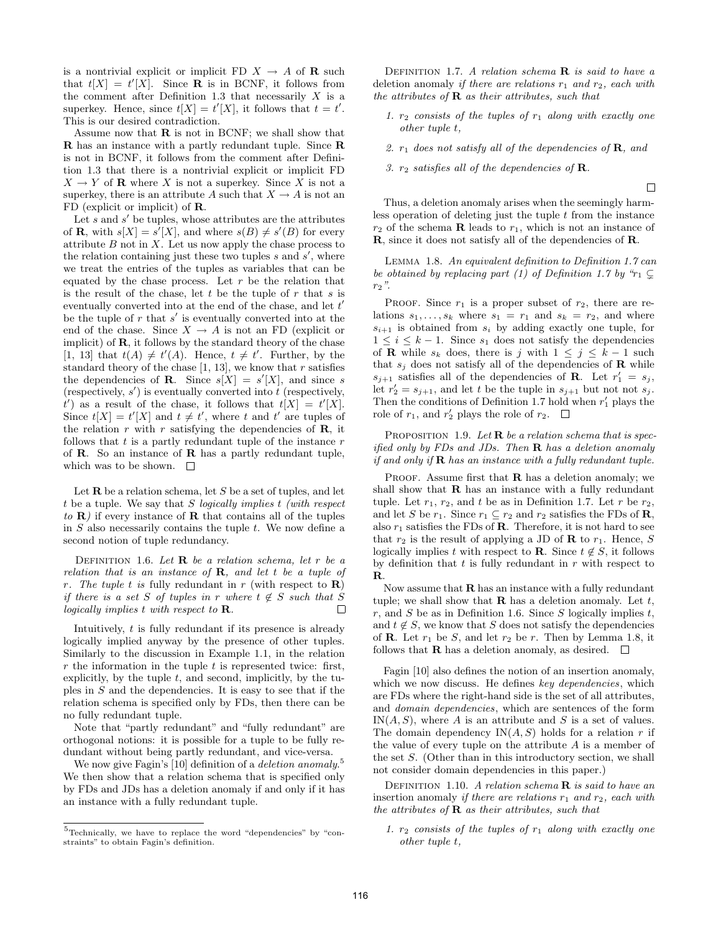is a nontrivial explicit or implicit FD  $X \to A$  of **R** such that  $t[X] = t'[X]$ . Since **R** is in BCNF, it follows from the comment after Definition 1.3 that necessarily  $X$  is a superkey. Hence, since  $t[X] = t'[X]$ , it follows that  $t = t'$ . This is our desired contradiction.

Assume now that  $\bf{R}$  is not in BCNF; we shall show that R has an instance with a partly redundant tuple. Since R is not in BCNF, it follows from the comment after Definition 1.3 that there is a nontrivial explicit or implicit FD  $X \to Y$  of **R** where X is not a superkey. Since X is not a superkey, there is an attribute A such that  $X \to A$  is not an FD (explicit or implicit) of R.

Let  $s$  and  $s'$  be tuples, whose attributes are the attributes of **R**, with  $s[X] = s'[X]$ , and where  $s(B) \neq s'(B)$  for every attribute  $B$  not in  $X$ . Let us now apply the chase process to the relation containing just these two tuples  $s$  and  $s'$ , where we treat the entries of the tuples as variables that can be equated by the chase process. Let  $r$  be the relation that is the result of the chase, let  $t$  be the tuple of  $r$  that  $s$  is eventually converted into at the end of the chase, and let  $t'$ be the tuple of  $r$  that  $s'$  is eventually converted into at the end of the chase. Since  $X \to A$  is not an FD (explicit or implicit) of  $\mathbf{R}$ , it follows by the standard theory of the chase [1, 13] that  $t(A) \neq t'(A)$ . Hence,  $t \neq t'$ . Further, by the standard theory of the chase  $[1, 13]$ , we know that r satisfies the dependencies of **R**. Since  $s[X] = s'[X]$ , and since s (respectively,  $s'$ ) is eventually converted into t (respectively,  $t'$ ) as a result of the chase, it follows that  $t[X] = t'[X]$ . Since  $t[X] = t'[X]$  and  $t \neq t'$ , where t and t' are tuples of the relation  $r$  with  $r$  satisfying the dependencies of  $\bf{R}$ , it follows that  $t$  is a partly redundant tuple of the instance  $r$ of  $\bf R$ . So an instance of  $\bf R$  has a partly redundant tuple, which was to be shown.  $\quad \Box$ 

Let  $\bf{R}$  be a relation schema, let S be a set of tuples, and let t be a tuple. We say that  $S$  logically implies  $t$  (with respect to  $\bf{R}$ ) if every instance of  $\bf{R}$  that contains all of the tuples in  $S$  also necessarily contains the tuple  $t$ . We now define a second notion of tuple redundancy.

DEFINITION 1.6. Let  $\bf{R}$  be a relation schema, let r be a relation that is an instance of  $\bf{R}$ , and let t be a tuple of r. The tuple t is fully redundant in r (with respect to  $\bf{R}$ ) if there is a set S of tuples in r where  $t \notin S$  such that S logically implies t with respect to R.  $\Box$ 

Intuitively,  $t$  is fully redundant if its presence is already logically implied anyway by the presence of other tuples. Similarly to the discussion in Example 1.1, in the relation  $r$  the information in the tuple  $t$  is represented twice: first, explicitly, by the tuple  $t$ , and second, implicitly, by the tuples in S and the dependencies. It is easy to see that if the relation schema is specified only by FDs, then there can be no fully redundant tuple.

Note that "partly redundant" and "fully redundant" are orthogonal notions: it is possible for a tuple to be fully redundant without being partly redundant, and vice-versa.

We now give Fagin's [10] definition of a *deletion anomaly*.<sup>5</sup> We then show that a relation schema that is specified only by FDs and JDs has a deletion anomaly if and only if it has an instance with a fully redundant tuple.

DEFINITION 1.7. A relation schema  $\bf{R}$  is said to have a deletion anomaly if there are relations  $r_1$  and  $r_2$ , each with the attributes of  $\bf{R}$  as their attributes, such that

- 1.  $r_2$  consists of the tuples of  $r_1$  along with exactly one other tuple t,
- 2.  $r_1$  does not satisfy all of the dependencies of **R**, and

 $\Box$ 

3.  $r_2$  satisfies all of the dependencies of **R**.

Thus, a deletion anomaly arises when the seemingly harmless operation of deleting just the tuple  $t$  from the instance  $r_2$  of the schema **R** leads to  $r_1$ , which is not an instance of R, since it does not satisfy all of the dependencies of R.

Lemma 1.8. An equivalent definition to Definition 1.7 can be obtained by replacing part (1) of Definition 1.7 by " $r_1 \subseteq$  $r_2$ ".

PROOF. Since  $r_1$  is a proper subset of  $r_2$ , there are relations  $s_1, \ldots, s_k$  where  $s_1 = r_1$  and  $s_k = r_2$ , and where  $s_{i+1}$  is obtained from  $s_i$  by adding exactly one tuple, for  $1 \leq i \leq k-1$ . Since  $s_1$  does not satisfy the dependencies of **R** while  $s_k$  does, there is j with  $1 \leq j \leq k-1$  such that  $s_j$  does not satisfy all of the dependencies of **R** while  $s_{j+1}$  satisfies all of the dependencies of **R**. Let  $r'_1 = s_j$ , let  $r'_2 = s_{j+1}$ , and let t be the tuple in  $s_{j+1}$  but not not  $s_j$ . Then the conditions of Definition 1.7 hold when  $r'_1$  plays the role of  $r_1$ , and  $r'_2$  plays the role of  $r_2$ .

PROPOSITION 1.9. Let  $\bf{R}$  be a relation schema that is specified only by FDs and JDs. Then  $\bf R$  has a deletion anomaly if and only if  $\bf{R}$  has an instance with a fully redundant tuple.

PROOF. Assume first that  $R$  has a deletion anomaly; we shall show that  **has an instance with a fully redundant** tuple. Let  $r_1$ ,  $r_2$ , and t be as in Definition 1.7. Let r be  $r_2$ , and let S be  $r_1$ . Since  $r_1 \subseteq r_2$  and  $r_2$  satisfies the FDs of **R**, also  $r_1$  satisfies the FDs of **R**. Therefore, it is not hard to see that  $r_2$  is the result of applying a JD of **R** to  $r_1$ . Hence, S logically implies t with respect to **R**. Since  $t \notin S$ , it follows by definition that  $t$  is fully redundant in  $r$  with respect to R.

Now assume that  **has an instance with a fully redundant** tuple; we shall show that  $\bf{R}$  has a deletion anomaly. Let t, r, and S be as in Definition 1.6. Since S logically implies  $t$ , and  $t \notin S$ , we know that S does not satisfy the dependencies of **R**. Let  $r_1$  be S, and let  $r_2$  be r. Then by Lemma 1.8, it follows that **R** has a deletion anomaly, as desired.  $\Box$ 

Fagin [10] also defines the notion of an insertion anomaly, which we now discuss. He defines key dependencies, which are FDs where the right-hand side is the set of all attributes, and domain dependencies, which are sentences of the form  $IN(A, S)$ , where A is an attribute and S is a set of values. The domain dependency  $IN(A, S)$  holds for a relation r if the value of every tuple on the attribute A is a member of the set S. (Other than in this introductory section, we shall not consider domain dependencies in this paper.)

DEFINITION 1.10. A relation schema  $\bf{R}$  is said to have an insertion anomaly if there are relations  $r_1$  and  $r_2$ , each with the attributes of  $\bf{R}$  as their attributes, such that

1.  $r_2$  consists of the tuples of  $r_1$  along with exactly one other tuple t,

 $5$ Technically, we have to replace the word "dependencies" by "constraints" to obtain Fagin's definition.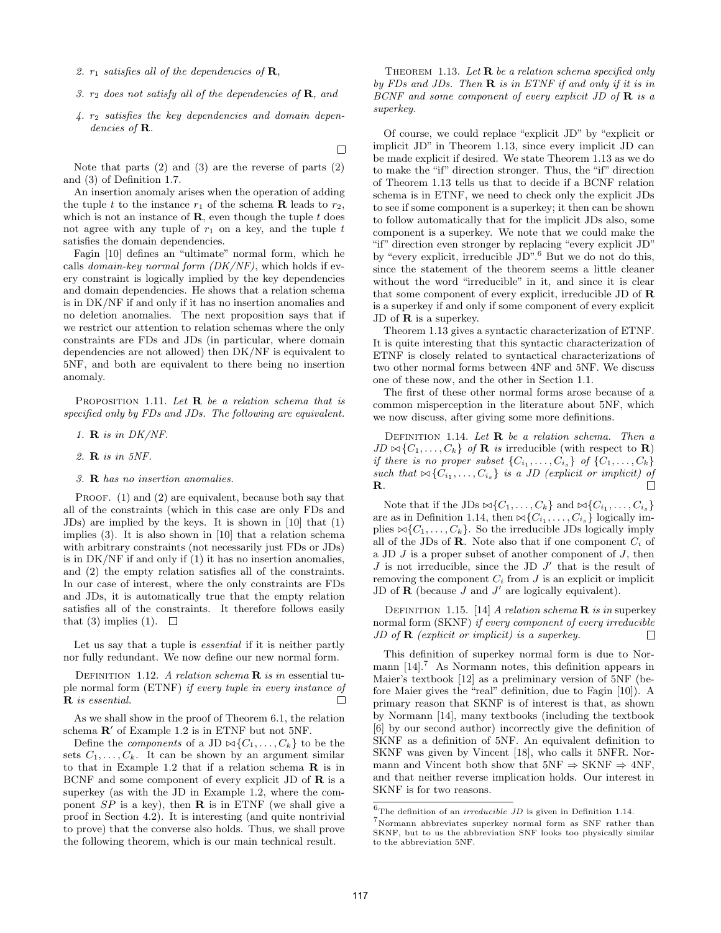- 2.  $r_1$  satisfies all of the dependencies of **R**,
- 3.  $r_2$  does not satisfy all of the dependencies of **R**, and
- 4. r<sup>2</sup> satisfies the key dependencies and domain dependencies of **R**.

 $\Box$ 

Note that parts  $(2)$  and  $(3)$  are the reverse of parts  $(2)$ and (3) of Definition 1.7.

An insertion anomaly arises when the operation of adding the tuple t to the instance  $r_1$  of the schema **R** leads to  $r_2$ , which is not an instance of  $\mathbf{R}$ , even though the tuple t does not agree with any tuple of  $r_1$  on a key, and the tuple  $t$ satisfies the domain dependencies.

Fagin [10] defines an "ultimate" normal form, which he calls domain-key normal form  $(DK/NF)$ , which holds if every constraint is logically implied by the key dependencies and domain dependencies. He shows that a relation schema is in DK/NF if and only if it has no insertion anomalies and no deletion anomalies. The next proposition says that if we restrict our attention to relation schemas where the only constraints are FDs and JDs (in particular, where domain dependencies are not allowed) then DK/NF is equivalent to 5NF, and both are equivalent to there being no insertion anomaly.

PROPOSITION 1.11. Let  $\bf{R}$  be a relation schema that is specified only by FDs and JDs. The following are equivalent.

- 1.  $\bf{R}$  is in DK/NF.
- 2. R is in 5NF.
- 3. R has no insertion anomalies.

PROOF. (1) and (2) are equivalent, because both say that all of the constraints (which in this case are only FDs and JDs) are implied by the keys. It is shown in [10] that (1) implies (3). It is also shown in [10] that a relation schema with arbitrary constraints (not necessarily just FDs or JDs) is in DK/NF if and only if (1) it has no insertion anomalies, and (2) the empty relation satisfies all of the constraints. In our case of interest, where the only constraints are FDs and JDs, it is automatically true that the empty relation satisfies all of the constraints. It therefore follows easily that (3) implies (1).  $\Box$ 

Let us say that a tuple is essential if it is neither partly nor fully redundant. We now define our new normal form.

DEFINITION 1.12. A relation schema  $\bf{R}$  is in essential tuple normal form (ETNF) if every tuple in every instance of R is essential.  $\Box$ 

As we shall show in the proof of Theorem 6.1, the relation schema  $\mathbb{R}'$  of Example 1.2 is in ETNF but not 5NF.

Define the *components* of a JD  $\bowtie$ { $C_1, \ldots, C_k$ } to be the sets  $C_1, \ldots, C_k$ . It can be shown by an argument similar to that in Example 1.2 that if a relation schema  $\bf{R}$  is in BCNF and some component of every explicit JD of  $\bf{R}$  is a superkey (as with the JD in Example 1.2, where the component  $SP$  is a key), then **R** is in ETNF (we shall give a proof in Section 4.2). It is interesting (and quite nontrivial to prove) that the converse also holds. Thus, we shall prove the following theorem, which is our main technical result.

THEOREM 1.13. Let **R** be a relation schema specified only by FDs and JDs. Then  $\bf{R}$  is in ETNF if and only if it is in BCNF and some component of every explicit JD of  $\bf{R}$  is a superkey.

Of course, we could replace "explicit JD" by "explicit or implicit JD" in Theorem 1.13, since every implicit JD can be made explicit if desired. We state Theorem 1.13 as we do to make the "if" direction stronger. Thus, the "if" direction of Theorem 1.13 tells us that to decide if a BCNF relation schema is in ETNF, we need to check only the explicit JDs to see if some component is a superkey; it then can be shown to follow automatically that for the implicit JDs also, some component is a superkey. We note that we could make the "if" direction even stronger by replacing "every explicit JD" by "every explicit, irreducible JD".<sup>6</sup> But we do not do this, since the statement of the theorem seems a little cleaner without the word "irreducible" in it, and since it is clear that some component of every explicit, irreducible JD of  $\bf{R}$ is a superkey if and only if some component of every explicit JD of  **is a superkey.** 

Theorem 1.13 gives a syntactic characterization of ETNF. It is quite interesting that this syntactic characterization of ETNF is closely related to syntactical characterizations of two other normal forms between 4NF and 5NF. We discuss one of these now, and the other in Section 1.1.

The first of these other normal forms arose because of a common misperception in the literature about 5NF, which we now discuss, after giving some more definitions.

DEFINITION 1.14. Let  $\bf{R}$  be a relation schema. Then a  $JD \bowtie \{C_1, \ldots, C_k\}$  of **R** is irreducible (with respect to **R**) if there is no proper subset  $\{C_{i_1}, \ldots, C_{i_s}\}$  of  $\{C_1, \ldots, C_k\}$ such that  $\bowtie \{C_{i_1}, \ldots, C_{i_s}\}$  is a JD (explicit or implicit) of R.

Note that if the JDs  $\bowtie \{C_1, \ldots, C_k\}$  and  $\bowtie \{C_{i_1}, \ldots, C_{i_s}\}$ are as in Definition 1.14, then  $\bowtie$ { $C_{i_1}, \ldots, C_{i_s}$ } logically implies  $\bowtie$ { $C_1, \ldots, C_k$ }. So the irreducible JDs logically imply all of the JDs of **R**. Note also that if one component  $C_i$  of a JD  $J$  is a proper subset of another component of  $J$ , then  $J$  is not irreducible, since the JD  $J'$  that is the result of removing the component  $C_i$  from  $J$  is an explicit or implicit JD of  $\bf{R}$  (because  $J$  and  $J'$  are logically equivalent).

DEFINITION 1.15. [14] A relation schema  $\bf{R}$  is in superkey normal form (SKNF) if every component of every irreducible JD of  $\bf{R}$  (explicit or implicit) is a superkey. П

This definition of superkey normal form is due to Normann  $[14]$ .<sup>7</sup> As Normann notes, this definition appears in Maier's textbook [12] as a preliminary version of 5NF (before Maier gives the "real" definition, due to Fagin [10]). A primary reason that SKNF is of interest is that, as shown by Normann [14], many textbooks (including the textbook [6] by our second author) incorrectly give the definition of SKNF as a definition of 5NF. An equivalent definition to SKNF was given by Vincent [18], who calls it 5NFR. Normann and Vincent both show that  $5NF \Rightarrow \text{SKNF} \Rightarrow 4NF$ , and that neither reverse implication holds. Our interest in SKNF is for two reasons.

 $^6\!$  The definition of an  $irreducible$   $JD$  is given in Definition 1.14.

 ${\rm ^7}$  Normann abbreviates superkey normal form as SNF rather than SKNF, but to us the abbreviation SNF looks too physically similar to the abbreviation 5NF.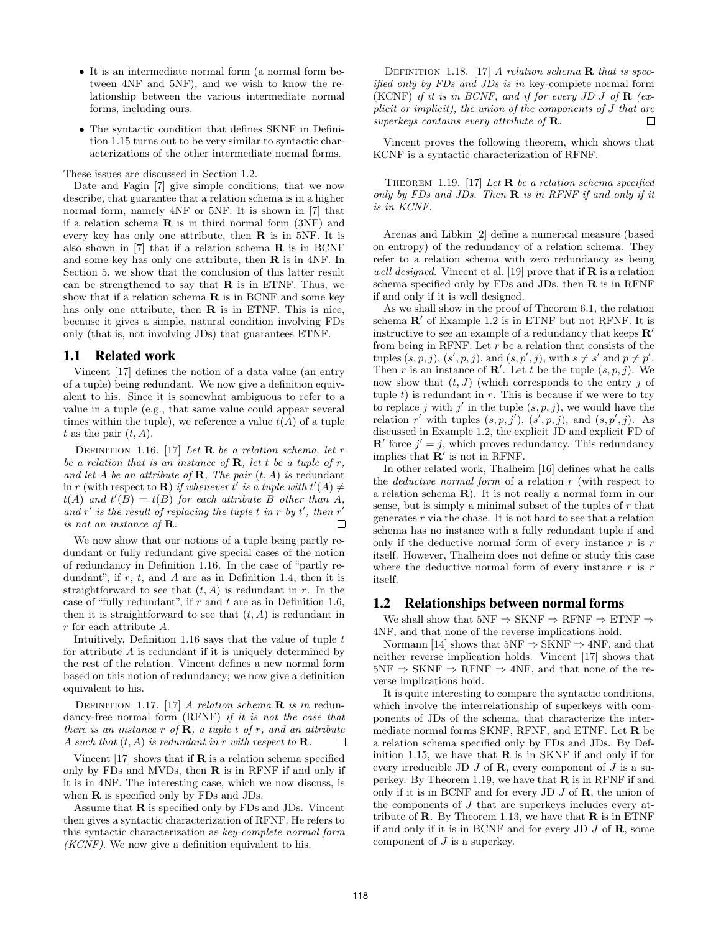- It is an intermediate normal form (a normal form between 4NF and 5NF), and we wish to know the relationship between the various intermediate normal forms, including ours.
- The syntactic condition that defines SKNF in Definition 1.15 turns out to be very similar to syntactic characterizations of the other intermediate normal forms.

These issues are discussed in Section 1.2.

Date and Fagin [7] give simple conditions, that we now describe, that guarantee that a relation schema is in a higher normal form, namely 4NF or 5NF. It is shown in [7] that if a relation schema  $\bf{R}$  is in third normal form  $(3NF)$  and every key has only one attribute, then  $\bf{R}$  is in 5NF. It is also shown in [7] that if a relation schema  $\bf{R}$  is in BCNF and some key has only one attribute, then  $\bf{R}$  is in 4NF. In Section 5, we show that the conclusion of this latter result can be strengthened to say that  $\bf{R}$  is in ETNF. Thus, we show that if a relation schema  $R$  is in BCNF and some key has only one attribute, then  $R$  is in ETNF. This is nice, because it gives a simple, natural condition involving FDs only (that is, not involving JDs) that guarantees ETNF.

## 1.1 Related work

Vincent [17] defines the notion of a data value (an entry of a tuple) being redundant. We now give a definition equivalent to his. Since it is somewhat ambiguous to refer to a value in a tuple (e.g., that same value could appear several times within the tuple), we reference a value  $t(A)$  of a tuple t as the pair  $(t, A)$ .

DEFINITION 1.16. [17] Let **R** be a relation schema, let r be a relation that is an instance of  $\bf{R}$ , let t be a tuple of r, and let A be an attribute of **R**, The pair  $(t, A)$  is redundant in r (with respect to **R**) if whenever t' is a tuple with  $t'(A) \neq 0$  $t(A)$  and  $t'(B) = t(B)$  for each attribute B other than A, and  $r'$  is the result of replacing the tuple t in r by t', then  $r'$ is not an instance of R.  $\Box$ 

We now show that our notions of a tuple being partly redundant or fully redundant give special cases of the notion of redundancy in Definition 1.16. In the case of "partly redundant", if  $r$ ,  $t$ , and  $A$  are as in Definition 1.4, then it is straightforward to see that  $(t, A)$  is redundant in r. In the case of "fully redundant", if  $r$  and  $t$  are as in Definition 1.6, then it is straightforward to see that  $(t, A)$  is redundant in r for each attribute A.

Intuitively, Definition 1.16 says that the value of tuple  $t$ for attribute A is redundant if it is uniquely determined by the rest of the relation. Vincent defines a new normal form based on this notion of redundancy; we now give a definition equivalent to his.

DEFINITION 1.17. [17] A relation schema  $\bf{R}$  is in redundancy-free normal form (RFNF) if it is not the case that there is an instance r of  $\bf{R}$ , a tuple t of r, and an attribute A such that  $(t, A)$  is redundant in r with respect to **R**.  $\Box$ 

Vincent  $[17]$  shows that if **R** is a relation schema specified only by FDs and MVDs, then  $\bf{R}$  is in RFNF if and only if it is in 4NF. The interesting case, which we now discuss, is when **R** is specified only by FDs and JDs.

Assume that  **is specified only by FDs and JDs. Vincent** then gives a syntactic characterization of RFNF. He refers to this syntactic characterization as key-complete normal form  $(KCNF)$ . We now give a definition equivalent to his.

DEFINITION 1.18. [17] A relation schema  $\bf{R}$  that is specified only by FDs and JDs is in key-complete normal form (KCNF) if it is in BCNF, and if for every JD J of  $\bf{R}$  (explicit or implicit), the union of the components of J that are superkeys contains every attribute of R.  $\Box$ 

Vincent proves the following theorem, which shows that KCNF is a syntactic characterization of RFNF.

THEOREM 1.19. [17] Let **R** be a relation schema specified only by FDs and JDs. Then  $\bf{R}$  is in RFNF if and only if it is in KCNF.

Arenas and Libkin [2] define a numerical measure (based on entropy) of the redundancy of a relation schema. They refer to a relation schema with zero redundancy as being well designed. Vincent et al. [19] prove that if  **is a relation** schema specified only by FDs and JDs, then  $R$  is in RFNF if and only if it is well designed.

As we shall show in the proof of Theorem 6.1, the relation schema  $\mathbb{R}'$  of Example 1.2 is in ETNF but not RFNF. It is instructive to see an example of a redundancy that keeps  $\mathbb{R}^7$ from being in RFNF. Let  $r$  be a relation that consists of the tuples  $(s, p, j)$ ,  $(s', p, j)$ , and  $(s, p', j)$ , with  $s \neq s'$  and  $p \neq p'$ . Then r is an instance of  $\mathbb{R}'$ . Let t be the tuple  $(s, p, j)$ . We now show that  $(t, J)$  (which corresponds to the entry j of tuple  $t$ ) is redundant in  $r$ . This is because if we were to try to replace j with j' in the tuple  $(s, p, j)$ , we would have the relation r' with tuples  $(s, p, j')$ ,  $(s', p, j)$ , and  $(s, p', j)$ . As discussed in Example 1.2, the explicit JD and explicit FD of  $\mathbf{R}'$  force  $j' = j$ , which proves redundancy. This redundancy implies that  $\mathbf{R}'$  is not in RFNF.

In other related work, Thalheim [16] defines what he calls the *deductive normal form* of a relation  $r$  (with respect to a relation schema R). It is not really a normal form in our sense, but is simply a minimal subset of the tuples of  $r$  that generates  $r$  via the chase. It is not hard to see that a relation schema has no instance with a fully redundant tuple if and only if the deductive normal form of every instance  $r$  is  $r$ itself. However, Thalheim does not define or study this case where the deductive normal form of every instance  $r$  is  $r$ itself.

#### 1.2 Relationships between normal forms

We shall show that  $5NF \Rightarrow$  SKNF  $\Rightarrow$  RFNF  $\Rightarrow$  ETNF  $\Rightarrow$ 4NF, and that none of the reverse implications hold.

Normann [14] shows that  $5NF \Rightarrow SKNF \Rightarrow 4NF$ , and that neither reverse implication holds. Vincent [17] shows that  $5NF \Rightarrow SKNF \Rightarrow RFNF \Rightarrow 4NF$ , and that none of the reverse implications hold.

It is quite interesting to compare the syntactic conditions, which involve the interrelationship of superkeys with components of JDs of the schema, that characterize the intermediate normal forms SKNF, RFNF, and ETNF. Let R be a relation schema specified only by FDs and JDs. By Definition 1.15, we have that  $\bf{R}$  is in SKNF if and only if for every irreducible JD  $J$  of  $\bf{R}$ , every component of  $J$  is a superkey. By Theorem 1.19, we have that  $\bf{R}$  is in RFNF if and only if it is in BCNF and for every JD  $J$  of  $\bf{R}$ , the union of the components of J that are superkeys includes every attribute of  $\bf R$ . By Theorem 1.13, we have that  $\bf R$  is in ETNF if and only if it is in BCNF and for every JD  $J$  of  $\bf{R}$ , some component of  $J$  is a superkey.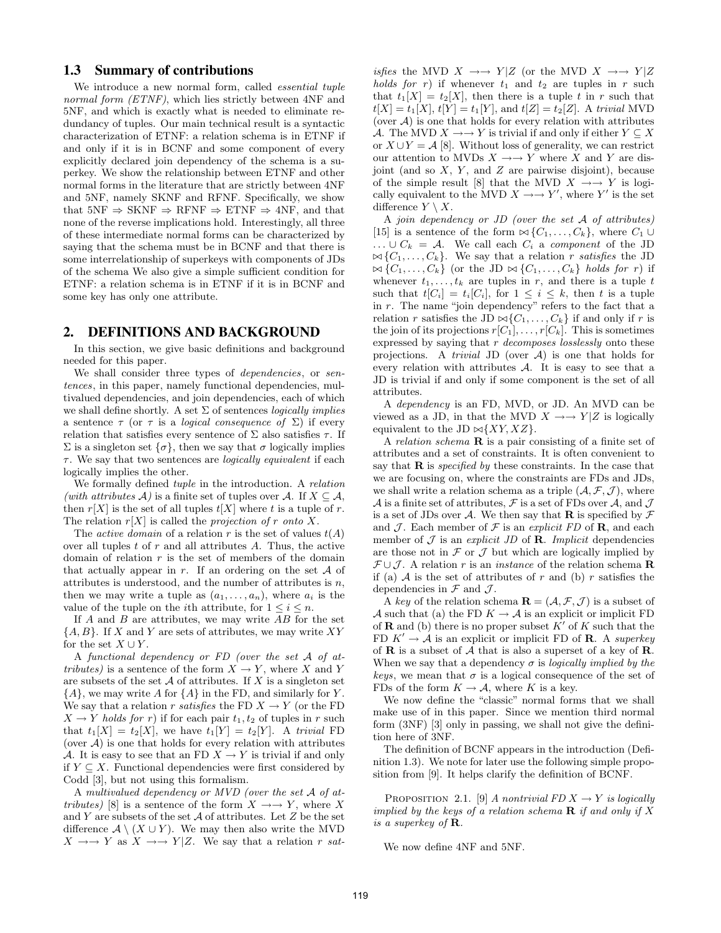## 1.3 Summary of contributions

We introduce a new normal form, called *essential tuple* normal form *(ETNF)*, which lies strictly between  $4NF$  and 5NF, and which is exactly what is needed to eliminate redundancy of tuples. Our main technical result is a syntactic characterization of ETNF: a relation schema is in ETNF if and only if it is in BCNF and some component of every explicitly declared join dependency of the schema is a superkey. We show the relationship between ETNF and other normal forms in the literature that are strictly between 4NF and 5NF, namely SKNF and RFNF. Specifically, we show that  $5NF \Rightarrow SKNF \Rightarrow RFNF \Rightarrow ETNF \Rightarrow 4NF$ , and that none of the reverse implications hold. Interestingly, all three of these intermediate normal forms can be characterized by saying that the schema must be in BCNF and that there is some interrelationship of superkeys with components of JDs of the schema We also give a simple sufficient condition for ETNF: a relation schema is in ETNF if it is in BCNF and some key has only one attribute.

#### 2. DEFINITIONS AND BACKGROUND

In this section, we give basic definitions and background needed for this paper.

We shall consider three types of *dependencies*, or sentences, in this paper, namely functional dependencies, multivalued dependencies, and join dependencies, each of which we shall define shortly. A set  $\Sigma$  of sentences *logically implies* a sentence  $\tau$  (or  $\tau$  is a *logical consequence of*  $\Sigma$ ) if every relation that satisfies every sentence of  $\Sigma$  also satisfies  $\tau$ . If  $\Sigma$  is a singleton set  $\{\sigma\}$ , then we say that  $\sigma$  logically implies  $\tau$ . We say that two sentences are *logically equivalent* if each logically implies the other.

We formally defined tuple in the introduction. A relation (with attributes A) is a finite set of tuples over A. If  $X \subseteq \mathcal{A}$ , then  $r[X]$  is the set of all tuples  $t[X]$  where t is a tuple of r. The relation  $r[X]$  is called the projection of r onto X.

The *active domain* of a relation r is the set of values  $t(A)$ over all tuples  $t$  of  $r$  and all attributes  $A$ . Thus, the active domain of relation  $r$  is the set of members of the domain that actually appear in  $r$ . If an ordering on the set  $A$  of attributes is understood, and the number of attributes is  $n$ , then we may write a tuple as  $(a_1, \ldots, a_n)$ , where  $a_i$  is the value of the tuple on the *i*th attribute, for  $1 \leq i \leq n$ .

If  $A$  and  $B$  are attributes, we may write  $AB$  for the set  ${A, B}$ . If X and Y are sets of attributes, we may write XY for the set  $X \cup Y$ .

A functional dependency or FD (over the set A of attributes) is a sentence of the form  $X \to Y$ , where X and Y are subsets of the set  $A$  of attributes. If X is a singleton set  ${A}$ , we may write A for  ${A}$  in the FD, and similarly for Y. We say that a relation r satisfies the FD  $X \to Y$  (or the FD  $X \rightarrow Y$  holds for r) if for each pair  $t_1, t_2$  of tuples in r such that  $t_1[X] = t_2[X]$ , we have  $t_1[Y] = t_2[Y]$ . A trivial FD (over  $A$ ) is one that holds for every relation with attributes A. It is easy to see that an FD  $X \to Y$  is trivial if and only if  $Y \subseteq X$ . Functional dependencies were first considered by Codd [3], but not using this formalism.

A multivalued dependency or MVD (over the set A of attributes) [8] is a sentence of the form  $X \rightarrow Y$ , where X and  $Y$  are subsets of the set  $A$  of attributes. Let  $Z$  be the set difference  $\mathcal{A} \setminus (X \cup Y)$ . We may then also write the MVD  $X \longrightarrow Y$  as  $X \longrightarrow Y|Z$ . We say that a relation r sat-

isfies the MVD  $X \rightarrow Y|Z$  (or the MVD  $X \rightarrow Y|Z$ holds for r) if whenever  $t_1$  and  $t_2$  are tuples in r such that  $t_1[X] = t_2[X]$ , then there is a tuple t in r such that  $t[X] = t_1[X], t[Y] = t_1[Y],$  and  $t[Z] = t_2[Z]$ . A trivial MVD (over  $A$ ) is one that holds for every relation with attributes A. The MVD  $X \rightarrow Y$  is trivial if and only if either  $Y \subseteq X$ or  $X \cup Y = A$  [8]. Without loss of generality, we can restrict our attention to MVDs  $X \rightarrow Y$  where X and Y are disjoint (and so  $X$ ,  $Y$ , and  $Z$  are pairwise disjoint), because of the simple result [8] that the MVD  $X \rightarrow Y$  is logically equivalent to the MVD  $X \rightarrow Y'$ , where Y' is the set difference  $Y \setminus X$ .

A join dependency or JD (over the set A of attributes) [15] is a sentence of the form  $\bowtie$  { $C_1, \ldots, C_k$ }, where  $C_1 \cup$  $\ldots \cup C_k = A$ . We call each  $C_i$  a component of the JD  $\bowtie \{C_1, \ldots, C_k\}$ . We say that a relation r satisfies the JD  $\bowtie \{C_1, \ldots, C_k\}$  (or the JD  $\bowtie \{C_1, \ldots, C_k\}$  holds for r) if whenever  $t_1, \ldots, t_k$  are tuples in r, and there is a tuple t such that  $t[C_i] = t_i[C_i]$ , for  $1 \leq i \leq k$ , then t is a tuple in  $r$ . The name "join dependency" refers to the fact that a relation r satisfies the JD  $\bowtie$ { $C_1, \ldots, C_k$ } if and only if r is the join of its projections  $r[C_1], \ldots, r[C_k]$ . This is sometimes expressed by saying that  $r$  decomposes losslessly onto these projections. A *trivial* JD (over  $A$ ) is one that holds for every relation with attributes  $A$ . It is easy to see that a JD is trivial if and only if some component is the set of all attributes.

A dependency is an FD, MVD, or JD. An MVD can be viewed as a JD, in that the MVD  $X \rightarrow Y|Z$  is logically equivalent to the JD  $\bowtie$ {*XY, XZ*}.

A relation schema  $\bf{R}$  is a pair consisting of a finite set of attributes and a set of constraints. It is often convenient to say that  $\bf{R}$  is *specified by* these constraints. In the case that we are focusing on, where the constraints are FDs and JDs, we shall write a relation schema as a triple  $(\mathcal{A}, \mathcal{F}, \mathcal{J})$ , where A is a finite set of attributes, F is a set of FDs over A, and J is a set of JDs over A. We then say that **R** is specified by  $\mathcal F$ and  $\mathcal{J}$ . Each member of  $\mathcal F$  is an explicit FD of **R**, and each member of  $\mathcal J$  is an explicit JD of **R**. Implicit dependencies are those not in  $\mathcal F$  or  $\mathcal J$  but which are logically implied by  $\mathcal{F} \cup \mathcal{J}$ . A relation r is an *instance* of the relation schema **R** if (a)  $A$  is the set of attributes of r and (b) r satisfies the dependencies in  $\mathcal F$  and  $\mathcal J$ .

A key of the relation schema  $\mathbf{R} = (\mathcal{A}, \mathcal{F}, \mathcal{J})$  is a subset of A such that (a) the FD  $K \to \mathcal{A}$  is an explicit or implicit FD of **R** and (b) there is no proper subset  $K'$  of K such that the FD  $K' \to A$  is an explicit or implicit FD of **R**. A superkey of  $\bf R$  is a subset of  $\cal A$  that is also a superset of a key of  $\bf R$ . When we say that a dependency  $\sigma$  is *logically implied by the* keys, we mean that  $\sigma$  is a logical consequence of the set of FDs of the form  $K \to \mathcal{A}$ , where K is a key.

We now define the "classic" normal forms that we shall make use of in this paper. Since we mention third normal form (3NF) [3] only in passing, we shall not give the definition here of 3NF.

The definition of BCNF appears in the introduction (Definition 1.3). We note for later use the following simple proposition from [9]. It helps clarify the definition of BCNF.

PROPOSITION 2.1. [9] A nontrivial FD  $X \to Y$  is logically implied by the keys of a relation schema  $\mathbf R$  if and only if X is a superkey of  $\bf R$ .

We now define 4NF and 5NF.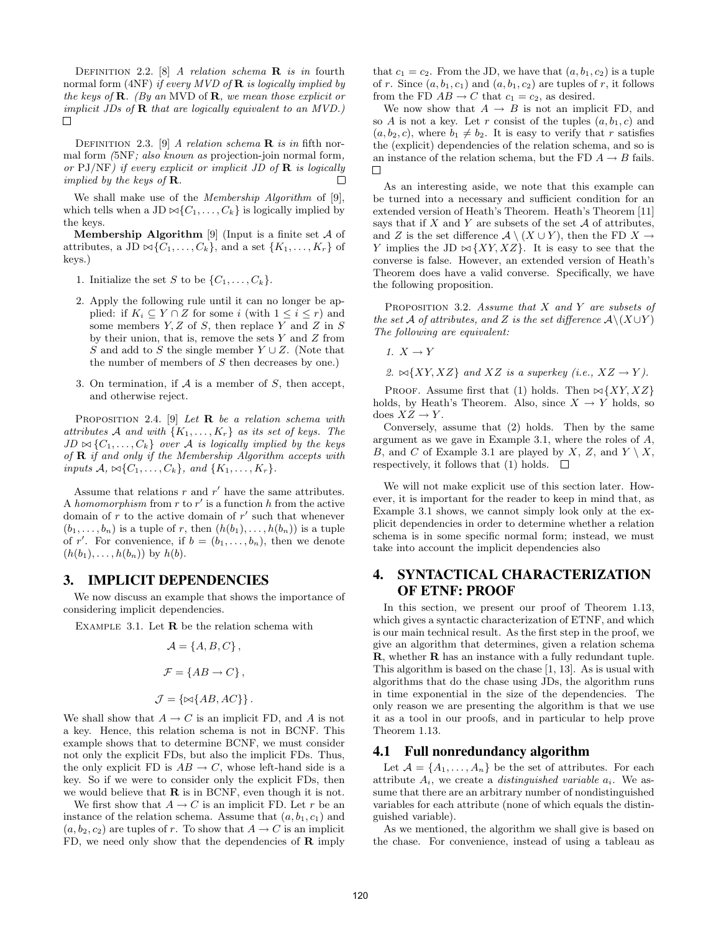DEFINITION 2.2. [8] A relation schema **R** is in fourth normal form (4NF) if every MVD of  $\bf{R}$  is logically implied by the keys of  $\bf{R}$ . (By an MVD of  $\bf{R}$ , we mean those explicit or implicit JDs of  $\bf{R}$  that are logically equivalent to an MVD.)  $\Box$ 

DEFINITION 2.3. [9] A relation schema  $\bf{R}$  is in fifth normal form (5NF; also known as projection-join normal form, or  $PJ/NF$ ) if every explicit or implicit JD of  $R$  is logically implied by the keys of  $\bf R$ .  $\Box$ 

We shall make use of the *Membership Algorithm* of [9], which tells when a JD  $\bowtie \{C_1, \ldots, C_k\}$  is logically implied by the keys.

**Membership Algorithm** [9] (Input is a finite set  $\mathcal A$  of attributes, a JD  $\bowtie$ { $C_1, \ldots, C_k$ }, and a set { $K_1, \ldots, K_r$ } of keys.)

- 1. Initialize the set S to be  $\{C_1, \ldots, C_k\}$ .
- 2. Apply the following rule until it can no longer be applied: if  $K_i \subseteq Y \cap Z$  for some i (with  $1 \leq i \leq r$ ) and some members  $Y, Z$  of  $S$ , then replace Y and Z in  $S$ by their union, that is, remove the sets  $Y$  and  $Z$  from S and add to S the single member  $Y \cup Z$ . (Note that the number of members of  $S$  then decreases by one.)
- 3. On termination, if  $A$  is a member of  $S$ , then accept, and otherwise reject.

PROPOSITION 2.4. [9] Let **R** be a relation schema with attributes A and with  $\{K_1, \ldots, K_r\}$  as its set of keys. The  $JD \bowtie \{C_1, \ldots, C_k\}$  over A is logically implied by the keys of  $\bf R$  if and only if the Membership Algorithm accepts with inputs  $\mathcal{A}, \bowtie \{C_1, \ldots, C_k\}$ , and  $\{K_1, \ldots, K_r\}$ .

Assume that relations  $r$  and  $r'$  have the same attributes. A homomorphism from  $r$  to  $r'$  is a function h from the active domain of  $r$  to the active domain of  $r'$  such that whenever  $(b_1, \ldots, b_n)$  is a tuple of r, then  $(h(b_1), \ldots, h(b_n))$  is a tuple of r'. For convenience, if  $b = (b_1, \ldots, b_n)$ , then we denote  $(h(b_1), \ldots, h(b_n))$  by  $h(b)$ .

#### 3. IMPLICIT DEPENDENCIES

We now discuss an example that shows the importance of considering implicit dependencies.

EXAMPLE 3.1. Let  **be the relation schema with** 

$$
\mathcal{A} = \{A, B, C\},\
$$

$$
\mathcal{F} = \{AB \rightarrow C\},\
$$

$$
\mathcal{J} = \{\bowtie\{AB, AC\}\}.
$$

We shall show that  $A \to C$  is an implicit FD, and A is not a key. Hence, this relation schema is not in BCNF. This example shows that to determine BCNF, we must consider not only the explicit FDs, but also the implicit FDs. Thus, the only explicit FD is  $AB \to C$ , whose left-hand side is a key. So if we were to consider only the explicit FDs, then we would believe that  $\bf{R}$  is in BCNF, even though it is not.

We first show that  $A \to C$  is an implicit FD. Let r be an instance of the relation schema. Assume that  $(a, b_1, c_1)$  and  $(a, b_2, c_2)$  are tuples of r. To show that  $A \to C$  is an implicit FD, we need only show that the dependencies of  **imply**  that  $c_1 = c_2$ . From the JD, we have that  $(a, b_1, c_2)$  is a tuple of r. Since  $(a, b_1, c_1)$  and  $(a, b_1, c_2)$  are tuples of r, it follows from the FD  $AB \to C$  that  $c_1 = c_2$ , as desired.

We now show that  $A \rightarrow B$  is not an implicit FD, and so A is not a key. Let r consist of the tuples  $(a, b_1, c)$  and  $(a, b_2, c)$ , where  $b_1 \neq b_2$ . It is easy to verify that r satisfies the (explicit) dependencies of the relation schema, and so is an instance of the relation schema, but the FD  $A \rightarrow B$  fails.  $\Box$ 

As an interesting aside, we note that this example can be turned into a necessary and sufficient condition for an extended version of Heath's Theorem. Heath's Theorem [11] says that if  $X$  and  $Y$  are subsets of the set  $A$  of attributes, and Z is the set difference  $\mathcal{A} \setminus (X \cup Y)$ , then the FD  $X \to$ Y implies the JD  $\bowtie$  {XY, XZ}. It is easy to see that the converse is false. However, an extended version of Heath's Theorem does have a valid converse. Specifically, we have the following proposition.

PROPOSITION 3.2. Assume that  $X$  and  $Y$  are subsets of the set A of attributes, and Z is the set difference  $\mathcal{A}\setminus (X\cup Y)$ The following are equivalent:

1.  $X \rightarrow Y$ 

2.  $\bowtie$ {XY, XZ} and XZ is a superkey (i.e., XZ  $\rightarrow$  Y).

PROOF. Assume first that (1) holds. Then  $\bowtie$  {XY, XZ} holds, by Heath's Theorem. Also, since  $X \to Y$  holds, so does  $XZ \rightarrow Y$ .

Conversely, assume that (2) holds. Then by the same argument as we gave in Example 3.1, where the roles of A, B, and C of Example 3.1 are played by X, Z, and  $Y \setminus X$ , respectively, it follows that (1) holds.  $\Box$ 

We will not make explicit use of this section later. However, it is important for the reader to keep in mind that, as Example 3.1 shows, we cannot simply look only at the explicit dependencies in order to determine whether a relation schema is in some specific normal form; instead, we must take into account the implicit dependencies also

## 4. SYNTACTICAL CHARACTERIZATION OF ETNF: PROOF

In this section, we present our proof of Theorem 1.13, which gives a syntactic characterization of ETNF, and which is our main technical result. As the first step in the proof, we give an algorithm that determines, given a relation schema R, whether R has an instance with a fully redundant tuple. This algorithm is based on the chase [1, 13]. As is usual with algorithms that do the chase using JDs, the algorithm runs in time exponential in the size of the dependencies. The only reason we are presenting the algorithm is that we use it as a tool in our proofs, and in particular to help prove Theorem 1.13.

#### 4.1 Full nonredundancy algorithm

Let  $\mathcal{A} = \{A_1, \ldots, A_n\}$  be the set of attributes. For each attribute  $A_i$ , we create a *distinguished variable*  $a_i$ . We assume that there are an arbitrary number of nondistinguished variables for each attribute (none of which equals the distinguished variable).

As we mentioned, the algorithm we shall give is based on the chase. For convenience, instead of using a tableau as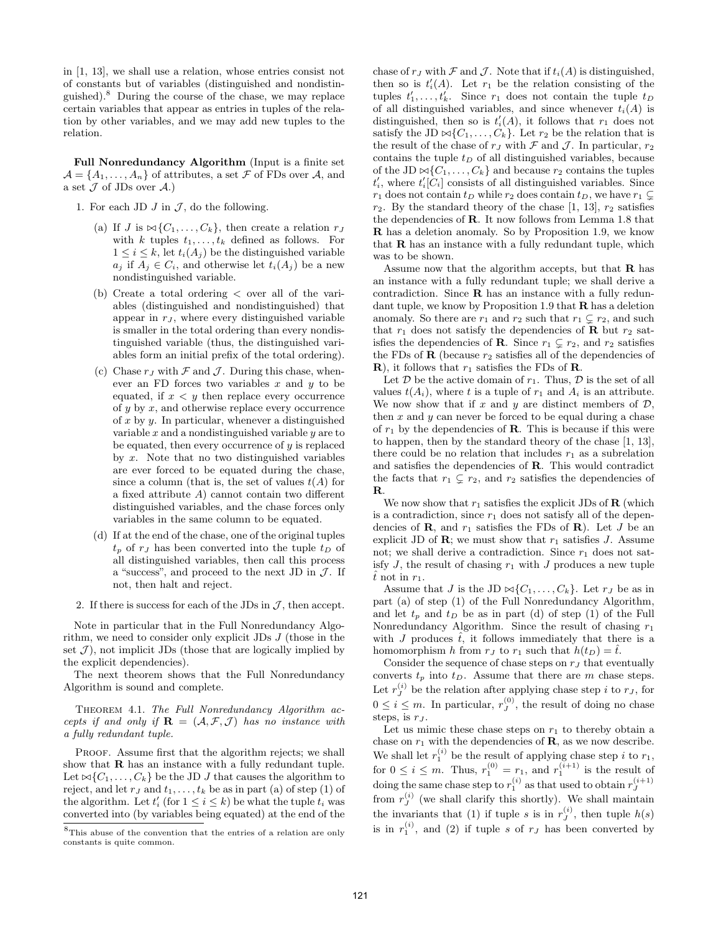in [1, 13], we shall use a relation, whose entries consist not of constants but of variables (distinguished and nondistinguished).<sup>8</sup> During the course of the chase, we may replace certain variables that appear as entries in tuples of the relation by other variables, and we may add new tuples to the relation.

Full Nonredundancy Algorithm (Input is a finite set  $\mathcal{A} = \{A_1, \ldots, A_n\}$  of attributes, a set  $\mathcal F$  of FDs over  $\mathcal A$ , and a set  $\mathcal J$  of JDs over  $\mathcal A$ .)

- 1. For each JD  $J$  in  $J$ , do the following.
	- (a) If J is  $\bowtie$  {C<sub>1</sub>, ..., C<sub>k</sub>}, then create a relation r<sub>J</sub> with k tuples  $t_1, \ldots, t_k$  defined as follows. For  $1 \leq i \leq k$ , let  $t_i(A_j)$  be the distinguished variable  $a_j$  if  $A_j \in C_i$ , and otherwise let  $t_i(A_j)$  be a new nondistinguished variable.
	- (b) Create a total ordering < over all of the variables (distinguished and nondistinguished) that appear in  $r_J$ , where every distinguished variable is smaller in the total ordering than every nondistinguished variable (thus, the distinguished variables form an initial prefix of the total ordering).
	- (c) Chase  $r_J$  with  $\mathcal F$  and  $\mathcal J$ . During this chase, whenever an FD forces two variables  $x$  and  $y$  to be equated, if  $x < y$  then replace every occurrence of  $y$  by  $x$ , and otherwise replace every occurrence of  $x$  by  $y$ . In particular, whenever a distinguished variable  $x$  and a nondistinguished variable  $y$  are to be equated, then every occurrence of  $y$  is replaced by  $x$ . Note that no two distinguished variables are ever forced to be equated during the chase, since a column (that is, the set of values  $t(A)$  for a fixed attribute A) cannot contain two different distinguished variables, and the chase forces only variables in the same column to be equated.
	- (d) If at the end of the chase, one of the original tuples  $t_p$  of  $r_J$  has been converted into the tuple  $t_D$  of all distinguished variables, then call this process a "success", and proceed to the next JD in  $\mathcal{J}$ . If not, then halt and reject.
- 2. If there is success for each of the JDs in  $J$ , then accept.

Note in particular that in the Full Nonredundancy Algorithm, we need to consider only explicit JDs J (those in the set  $J$ ), not implicit JDs (those that are logically implied by the explicit dependencies).

The next theorem shows that the Full Nonredundancy Algorithm is sound and complete.

Theorem 4.1. The Full Nonredundancy Algorithm accepts if and only if  $\mathbf{R} = (\mathcal{A}, \mathcal{F}, \mathcal{J})$  has no instance with a fully redundant tuple.

PROOF. Assume first that the algorithm rejects; we shall show that  **has an instance with a fully redundant tuple.** Let  $\bowtie$ { $C_1, \ldots, C_k$ } be the JD J that causes the algorithm to reject, and let  $r_J$  and  $t_1, \ldots, t_k$  be as in part (a) of step (1) of the algorithm. Let  $t_i'$  (for  $1 \leq i \leq k$ ) be what the tuple  $t_i$  was converted into (by variables being equated) at the end of the chase of  $r_J$  with  $\mathcal F$  and  $\mathcal J$ . Note that if  $t_i(A)$  is distinguished, then so is  $t'_{i}(A)$ . Let  $r_1$  be the relation consisting of the tuples  $t'_1, \ldots, t'_k$ . Since  $r_1$  does not contain the tuple  $t_D$ of all distinguished variables, and since whenever  $t_i(A)$  is distinguished, then so is  $t'_{i}(A)$ , it follows that  $r_1$  does not satisfy the JD  $\bowtie$ { $C_1, \ldots, C_k$ }. Let  $r_2$  be the relation that is the result of the chase of  $r<sub>J</sub>$  with  $\mathcal F$  and  $\mathcal J$ . In particular,  $r<sub>2</sub>$ contains the tuple  $t_D$  of all distinguished variables, because of the JD  $\bowtie$ { $C_1, \ldots, C_k$ } and because  $r_2$  contains the tuples  $t'_{i}$ , where  $t'_{i}[C_{i}]$  consists of all distinguished variables. Since  $r_1$  does not contain  $t_D$  while  $r_2$  does contain  $t_D$ , we have  $r_1 \subsetneq$  $r_2$ . By the standard theory of the chase [1, 13],  $r_2$  satisfies the dependencies of R. It now follows from Lemma 1.8 that R has a deletion anomaly. So by Proposition 1.9, we know that R has an instance with a fully redundant tuple, which was to be shown.

Assume now that the algorithm accepts, but that  $\bf{R}$  has an instance with a fully redundant tuple; we shall derive a contradiction. Since R has an instance with a fully redundant tuple, we know by Proposition 1.9 that  $\bf{R}$  has a deletion anomaly. So there are  $r_1$  and  $r_2$  such that  $r_1 \subsetneq r_2$ , and such that  $r_1$  does not satisfy the dependencies of **R** but  $r_2$  satisfies the dependencies of **R**. Since  $r_1 \subsetneq r_2$ , and  $r_2$  satisfies the FDs of  $\bf{R}$  (because  $r_2$  satisfies all of the dependencies of **R**), it follows that  $r_1$  satisfies the FDs of **R**.

Let  $D$  be the active domain of  $r_1$ . Thus,  $D$  is the set of all values  $t(A_i)$ , where t is a tuple of  $r_1$  and  $A_i$  is an attribute. We now show that if x and y are distinct members of  $\mathcal{D}$ , then  $x$  and  $y$  can never be forced to be equal during a chase of  $r_1$  by the dependencies of **R**. This is because if this were to happen, then by the standard theory of the chase [1, 13], there could be no relation that includes  $r_1$  as a subrelation and satisfies the dependencies of R. This would contradict the facts that  $r_1 \subsetneq r_2$ , and  $r_2$  satisfies the dependencies of R.

We now show that  $r_1$  satisfies the explicit JDs of  $\bf{R}$  (which is a contradiction, since  $r_1$  does not satisfy all of the dependencies of **R**, and  $r_1$  satisfies the FDs of **R**). Let J be an explicit JD of **R**; we must show that  $r_1$  satisfies J. Assume not; we shall derive a contradiction. Since  $r_1$  does not satisfy  $J$ , the result of chasing  $r_1$  with  $J$  produces a new tuple  $\hat{t}$  not in  $r_1$ .

Assume that J is the JD  $\bowtie$ { $C_1, \ldots, C_k$ }. Let  $r_J$  be as in part (a) of step (1) of the Full Nonredundancy Algorithm, and let  $t_p$  and  $t_p$  be as in part (d) of step (1) of the Full Nonredundancy Algorithm. Since the result of chasing  $r_1$ with J produces  $\hat{t}$ , it follows immediately that there is a homomorphism h from  $r<sub>J</sub>$  to  $r<sub>1</sub>$  such that  $h(t<sub>D</sub>) = \hat{t}$ .

Consider the sequence of chase steps on  $r<sub>J</sub>$  that eventually converts  $t_p$  into  $t_p$ . Assume that there are m chase steps. Let  $r_j^{(i)}$  be the relation after applying chase step i to  $r_j$ , for  $0 \leq i \leq m$ . In particular,  $r_J^{(0)}$ , the result of doing no chase steps, is  $r_J$ .

Let us mimic these chase steps on  $r_1$  to thereby obtain a chase on  $r_1$  with the dependencies of **R**, as we now describe. We shall let  $r_1^{(i)}$  be the result of applying chase step i to  $r_1$ , for  $0 \leq i \leq m$ . Thus,  $r_1^{(0)} = r_1$ , and  $r_1^{(i+1)}$  is the result of doing the same chase step to  $r_1^{(i)}$  as that used to obtain  $r_J^{(i+1)}$ from  $r_J^{(i)}$  (we shall clarify this shortly). We shall maintain the invariants that (1) if tuple s is in  $r_j^{(i)}$ , then tuple  $h(s)$ is in  $r_1^{(i)}$ , and (2) if tuple s of  $r_J$  has been converted by

 ${}^{8}{\rm This}$  abuse of the convention that the entries of a relation are only constants is quite common.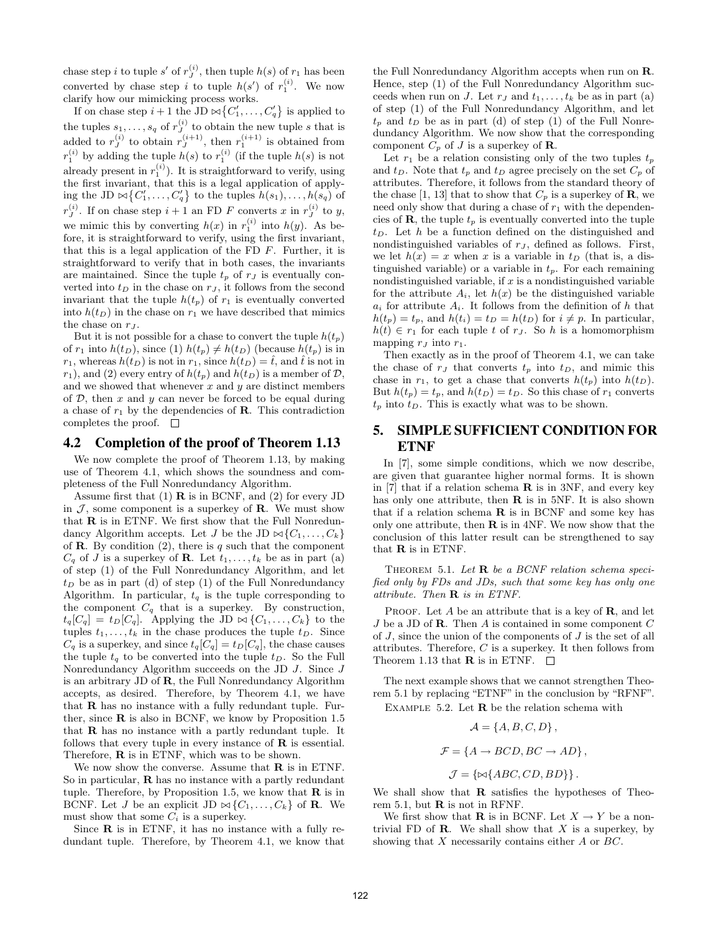chase step *i* to tuple *s'* of  $r_j^{(i)}$ , then tuple  $h(s)$  of  $r_1$  has been converted by chase step *i* to tuple  $h(s')$  of  $r_1^{(i)}$ . We now clarify how our mimicking process works.

If on chase step  $i+1$  the JD  $\bowtie \{C'_1, \ldots, C'_q\}$  is applied to the tuples  $s_1, \ldots, s_q$  of  $r_j^{(i)}$  to obtain the new tuple s that is added to  $r_j^{(i)}$  to obtain  $r_j^{(i+1)}$ , then  $r_1^{(i+1)}$  is obtained from  $r_1^{(i)}$  by adding the tuple  $h(s)$  to  $r_1^{(i)}$  (if the tuple  $h(s)$  is not already present in  $r_1^{(i)}$ ). It is straightforward to verify, using the first invariant, that this is a legal application of applying the JD  $\bowtie \{C'_1, \ldots, C'_q\}$  to the tuples  $h(s_1), \ldots, h(s_q)$  of  $r_J^{(i)}$ . If on chase step  $i+1$  an FD F converts x in  $r_J^{(i)}$  to y, we mimic this by converting  $h(x)$  in  $r_1^{(i)}$  into  $h(y)$ . As before, it is straightforward to verify, using the first invariant, that this is a legal application of the FD  $F$ . Further, it is straightforward to verify that in both cases, the invariants are maintained. Since the tuple  $t_p$  of  $r_j$  is eventually converted into  $t_D$  in the chase on  $r_J$ , it follows from the second invariant that the tuple  $h(t_p)$  of  $r_1$  is eventually converted into  $h(t_D)$  in the chase on  $r_1$  we have described that mimics the chase on  $r_J$ .

But it is not possible for a chase to convert the tuple  $h(t_p)$ of  $r_1$  into  $h(t_D)$ , since (1)  $h(t_p) \neq h(t_D)$  (because  $h(t_p)$  is in  $r_1$ , whereas  $h(t_D)$  is not in  $r_1$ , since  $h(t_D) = \hat{t}$ , and  $\hat{t}$  is not in  $r_1$ , and (2) every entry of  $h(t_p)$  and  $h(t_p)$  is a member of  $\mathcal{D}$ , and we showed that whenever  $x$  and  $y$  are distinct members of  $D$ , then  $x$  and  $y$  can never be forced to be equal during a chase of  $r_1$  by the dependencies of **R**. This contradiction completes the proof.  $\square$ 

#### 4.2 Completion of the proof of Theorem 1.13

We now complete the proof of Theorem 1.13, by making use of Theorem 4.1, which shows the soundness and completeness of the Full Nonredundancy Algorithm.

Assume first that  $(1)$  **R** is in BCNF, and  $(2)$  for every JD in  $J$ , some component is a superkey of **R**. We must show that R is in ETNF. We first show that the Full Nonredundancy Algorithm accepts. Let J be the JD  $\bowtie \{C_1, \ldots, C_k\}$ of **R**. By condition  $(2)$ , there is q such that the component  $C_q$  of J is a superkey of **R**. Let  $t_1, \ldots, t_k$  be as in part (a) of step (1) of the Full Nonredundancy Algorithm, and let  $t_D$  be as in part (d) of step (1) of the Full Nonredundancy Algorithm. In particular,  $t_q$  is the tuple corresponding to the component  $C_q$  that is a superkey. By construction,  $t_q[C_q] = t_D[C_q]$ . Applying the JD  $\bowtie \{C_1, \ldots, C_k\}$  to the tuples  $t_1, \ldots, t_k$  in the chase produces the tuple  $t_D$ . Since  $C_q$  is a superkey, and since  $t_q[C_q] = t_p[C_q]$ , the chase causes the tuple  $t_q$  to be converted into the tuple  $t_D$ . So the Full Nonredundancy Algorithm succeeds on the JD J. Since J is an arbitrary JD of R, the Full Nonredundancy Algorithm accepts, as desired. Therefore, by Theorem 4.1, we have that R has no instance with a fully redundant tuple. Further, since  $\bf{R}$  is also in BCNF, we know by Proposition 1.5 that R has no instance with a partly redundant tuple. It follows that every tuple in every instance of  **is essential.** Therefore, R is in ETNF, which was to be shown.

We now show the converse. Assume that  $\bf{R}$  is in ETNF. So in particular, R has no instance with a partly redundant tuple. Therefore, by Proposition 1.5, we know that  $\bf{R}$  is in BCNF. Let J be an explicit JD  $\bowtie \{C_1, \ldots, C_k\}$  of **R**. We must show that some  $C_i$  is a superkey.

Since  **is in ETNF, it has no instance with a fully re**dundant tuple. Therefore, by Theorem 4.1, we know that

the Full Nonredundancy Algorithm accepts when run on R. Hence, step (1) of the Full Nonredundancy Algorithm succeeds when run on J. Let  $r_j$  and  $t_1, \ldots, t_k$  be as in part (a) of step (1) of the Full Nonredundancy Algorithm, and let  $t_p$  and  $t_p$  be as in part (d) of step (1) of the Full Nonredundancy Algorithm. We now show that the corresponding component  $C_p$  of J is a superkey of **R**.

Let  $r_1$  be a relation consisting only of the two tuples  $t_p$ and  $t_D$ . Note that  $t_p$  and  $t_D$  agree precisely on the set  $C_p$  of attributes. Therefore, it follows from the standard theory of the chase [1, 13] that to show that  $C_p$  is a superkey of **R**, we need only show that during a chase of  $r_1$  with the dependencies of  $\mathbf{R}$ , the tuple  $t_p$  is eventually converted into the tuple  $t_D$ . Let h be a function defined on the distinguished and nondistinguished variables of  $r_J$ , defined as follows. First, we let  $h(x) = x$  when x is a variable in  $t_D$  (that is, a distinguished variable) or a variable in  $t_p$ . For each remaining nondistinguished variable, if  $x$  is a nondistinguished variable for the attribute  $A_i$ , let  $h(x)$  be the distinguished variable  $a_i$  for attribute  $A_i$ . It follows from the definition of h that  $h(t_p) = t_p$ , and  $h(t_i) = t_D = h(t_D)$  for  $i \neq p$ . In particular,  $h(t) \in r_1$  for each tuple t of  $r_J$ . So h is a homomorphism mapping  $r_J$  into  $r_1$ .

Then exactly as in the proof of Theorem 4.1, we can take the chase of  $r<sub>J</sub>$  that converts  $t<sub>p</sub>$  into  $t<sub>D</sub>$ , and mimic this chase in  $r_1$ , to get a chase that converts  $h(t_p)$  into  $h(t_D)$ . But  $h(t_p) = t_p$ , and  $h(t_p) = t_D$ . So this chase of  $r_1$  converts  $t_p$  into  $t_p$ . This is exactly what was to be shown.

# 5. SIMPLE SUFFICIENT CONDITION FOR ETNF

In [7], some simple conditions, which we now describe, are given that guarantee higher normal forms. It is shown in [7] that if a relation schema  $\bf{R}$  is in 3NF, and every key has only one attribute, then  $R$  is in 5NF. It is also shown that if a relation schema  $\bf{R}$  is in BCNF and some key has only one attribute, then  $\bf{R}$  is in 4NF. We now show that the conclusion of this latter result can be strengthened to say that R is in ETNF.

THEOREM 5.1. Let  $\mathbf R$  be a BCNF relation schema specified only by FDs and JDs, such that some key has only one attribute. Then R is in ETNF.

PROOF. Let A be an attribute that is a key of  $\bf{R}$ , and let J be a JD of **R**. Then A is contained in some component  $C$ of  $J$ , since the union of the components of  $J$  is the set of all attributes. Therefore, C is a superkey. It then follows from Theorem 1.13 that **R** is in ETNF.  $\Box$ 

The next example shows that we cannot strengthen Theorem 5.1 by replacing "ETNF" in the conclusion by "RFNF". EXAMPLE 5.2. Let  **be the relation schema with** 

$$
\mathcal{A} = \{A, B, C, D\},\
$$

$$
\mathcal{F} = \{A \to BCD, BC \to AD\},\
$$

 $\mathcal{J} = {\{\bowtie\}} \{ABC, CD, BD\}$ .

We shall show that  $\bf{R}$  satisfies the hypotheses of Theorem 5.1, but  $\bf{R}$  is not in RFNF.

We first show that **R** is in BCNF. Let  $X \to Y$  be a nontrivial FD of  $\bf R$ . We shall show that X is a superkey, by showing that  $X$  necessarily contains either  $A$  or  $BC$ .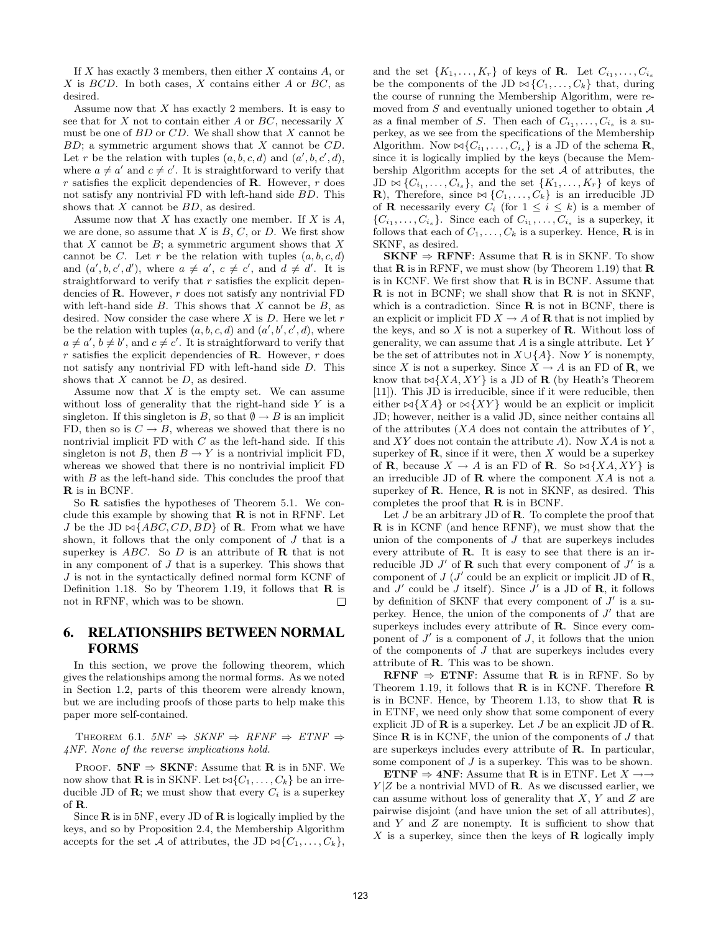If  $X$  has exactly 3 members, then either  $X$  contains  $A$ , or  $X$  is  $BCD$ . In both cases,  $X$  contains either  $A$  or  $BC$ , as desired.

Assume now that  $X$  has exactly 2 members. It is easy to see that for  $X$  not to contain either  $A$  or  $BC$ , necessarily  $X$ must be one of  $BD$  or  $CD$ . We shall show that X cannot be  $BD$ ; a symmetric argument shows that X cannot be  $CD$ . Let r be the relation with tuples  $(a, b, c, d)$  and  $(a', b, c', d)$ , where  $a \neq a'$  and  $c \neq c'$ . It is straightforward to verify that  $r$  satisfies the explicit dependencies of **R**. However,  $r$  does not satisfy any nontrivial FD with left-hand side BD. This shows that  $X$  cannot be  $BD$ , as desired.

Assume now that  $X$  has exactly one member. If  $X$  is  $A$ , we are done, so assume that  $X$  is  $B, C$ , or  $D$ . We first show that  $X$  cannot be  $B$ ; a symmetric argument shows that  $X$ cannot be C. Let r be the relation with tuples  $(a, b, c, d)$ and  $(a', b, c', d')$ , where  $a \neq a'$ ,  $c \neq c'$ , and  $d \neq d'$ . It is straightforward to verify that  $r$  satisfies the explicit dependencies of **. However,**  $r$  **does not satisfy any nontrivial**  $FD$ with left-hand side  $B$ . This shows that  $X$  cannot be  $B$ , as desired. Now consider the case where  $X$  is  $D$ . Here we let  $r$ be the relation with tuples  $(a, b, c, d)$  and  $(a', b', c', d)$ , where  $a \neq a', b \neq b'$ , and  $c \neq c'$ . It is straightforward to verify that  $r$  satisfies the explicit dependencies of **R**. However,  $r$  does not satisfy any nontrivial FD with left-hand side D. This shows that  $X$  cannot be  $D$ , as desired.

Assume now that  $X$  is the empty set. We can assume without loss of generality that the right-hand side  $Y$  is a singleton. If this singleton is B, so that  $\emptyset \to B$  is an implicit FD, then so is  $C \rightarrow B$ , whereas we showed that there is no nontrivial implicit  $FD$  with  $C$  as the left-hand side. If this singleton is not B, then  $B \to Y$  is a nontrivial implicit FD, whereas we showed that there is no nontrivial implicit FD with  $B$  as the left-hand side. This concludes the proof that R is in BCNF.

So R satisfies the hypotheses of Theorem 5.1. We conclude this example by showing that  $\bf{R}$  is not in RFNF. Let J be the JD  $\bowtie$ {ABC, CD, BD} of **R**. From what we have shown, it follows that the only component of J that is a superkey is  $ABC$ . So D is an attribute of **R** that is not in any component of J that is a superkey. This shows that J is not in the syntactically defined normal form KCNF of Definition 1.18. So by Theorem 1.19, it follows that  $\bf{R}$  is not in RFNF, which was to be shown.  $\Box$ 

## 6. RELATIONSHIPS BETWEEN NORMAL FORMS

In this section, we prove the following theorem, which gives the relationships among the normal forms. As we noted in Section 1.2, parts of this theorem were already known, but we are including proofs of those parts to help make this paper more self-contained.

THEOREM 6.1.  $5NF \Rightarrow SKNF \Rightarrow RFNF \Rightarrow ETNF \Rightarrow$ 4NF. None of the reverse implications hold.

PROOF.  $5NF \Rightarrow SKNF$ : Assume that **R** is in 5NF. We now show that **R** is in SKNF. Let  $\bowtie \{C_1, \ldots, C_k\}$  be an irreducible JD of **R**; we must show that every  $C_i$  is a superkey of R.

Since  $\bf{R}$  is in 5NF, every JD of  $\bf{R}$  is logically implied by the keys, and so by Proposition 2.4, the Membership Algorithm accepts for the set A of attributes, the JD  $\bowtie \{C_1, \ldots, C_k\},$ 

and the set  $\{K_1, \ldots, K_r\}$  of keys of **R**. Let  $C_{i_1}, \ldots, C_{i_s}$ be the components of the JD  $\bowtie$  { $C_1, \ldots, C_k$ } that, during the course of running the Membership Algorithm, were removed from  $S$  and eventually unioned together to obtain  $A$ as a final member of S. Then each of  $C_{i_1}, \ldots, C_{i_s}$  is a superkey, as we see from the specifications of the Membership Algorithm. Now  $\bowtie \{C_{i_1}, \ldots, C_{i_s}\}$  is a JD of the schema **R**, since it is logically implied by the keys (because the Membership Algorithm accepts for the set  $A$  of attributes, the  $JD \bowtie \{C_{i_1}, \ldots, C_{i_s}\}\$ , and the set  $\{K_1, \ldots, K_r\}$  of keys of **R**), Therefore, since  $\bowtie$  { $C_1, \ldots, C_k$ } is an irreducible JD of **R** necessarily every  $C_i$  (for  $1 \leq i \leq k$ ) is a member of  $\{C_{i_1},\ldots,C_{i_s}\}.$  Since each of  $C_{i_1},\ldots,C_{i_s}$  is a superkey, it follows that each of  $C_1, \ldots, C_k$  is a superkey. Hence, **R** is in SKNF, as desired.

 $SKNF \Rightarrow RFNF$ : Assume that R is in SKNF. To show that  $\bf{R}$  is in RFNF, we must show (by Theorem 1.19) that  $\bf{R}$ is in KCNF. We first show that  **is in BCNF. Assume that** R is not in BCNF; we shall show that R is not in SKNF, which is a contradiction. Since  $R$  is not in BCNF, there is an explicit or implicit FD  $X \to A$  of **R** that is not implied by the keys, and so  $X$  is not a superkey of  $\mathbb{R}$ . Without loss of generality, we can assume that  $A$  is a single attribute. Let  $Y$ be the set of attributes not in  $X \cup \{A\}$ . Now Y is nonempty, since X is not a superkey. Since  $X \to A$  is an FD of **R**, we know that  $\bowtie$ {*XA,XY*} is a JD of **R** (by Heath's Theorem [11]). This JD is irreducible, since if it were reducible, then either  $\bowtie$ {XA} or  $\bowtie$ {XY} would be an explicit or implicit JD; however, neither is a valid JD, since neither contains all of the attributes  $(XA \text{ does not contain the attributes of } Y,$ and  $XY$  does not contain the attribute  $A$ ). Now  $XA$  is not a superkey of  $\mathbf R$ , since if it were, then X would be a superkey of **R**, because  $X \to A$  is an FD of **R**. So  $\bowtie$  {XA, XY} is an irreducible JD of  $\bf{R}$  where the component  $XA$  is not a superkey of **. Hence,**  $**R**$  **is not in SKNF, as desired. This** completes the proof that  $\bf{R}$  is in BCNF.

Let  $J$  be an arbitrary JD of  $\bf{R}$ . To complete the proof that R is in KCNF (and hence RFNF), we must show that the union of the components of  $J$  that are superkeys includes every attribute of R. It is easy to see that there is an irreducible JD  $J'$  of **R** such that every component of  $J'$  is a component of  $J$  ( $J'$  could be an explicit or implicit JD of **R**, and  $J'$  could be  $J$  itself). Since  $J'$  is a JD of **R**, it follows by definition of SKNF that every component of  $J'$  is a superkey. Hence, the union of the components of  $J'$  that are superkeys includes every attribute of R. Since every component of  $J'$  is a component of  $J$ , it follows that the union of the components of  $J$  that are superkeys includes every attribute of R. This was to be shown.

**RFNF**  $\Rightarrow$  **ETNF**: Assume that **R** is in RFNF. So by Theorem 1.19, it follows that  $\bf{R}$  is in KCNF. Therefore  $\bf{R}$ is in BCNF. Hence, by Theorem 1.13, to show that  $\bf{R}$  is in ETNF, we need only show that some component of every explicit JD of  $\bf{R}$  is a superkey. Let J be an explicit JD of  $\bf{R}$ . Since  **is in KCNF, the union of the components of**  $J$  **that** are superkeys includes every attribute of R. In particular, some component of J is a superkey. This was to be shown.

ETNF  $\Rightarrow$  4NF: Assume that **R** is in ETNF. Let  $X \rightarrow \rightarrow$  $Y|Z$  be a nontrivial MVD of **R**. As we discussed earlier, we can assume without loss of generality that  $X, Y$  and  $Z$  are pairwise disjoint (and have union the set of all attributes), and  $Y$  and  $Z$  are nonempty. It is sufficient to show that  $X$  is a superkey, since then the keys of  $\bf{R}$  logically imply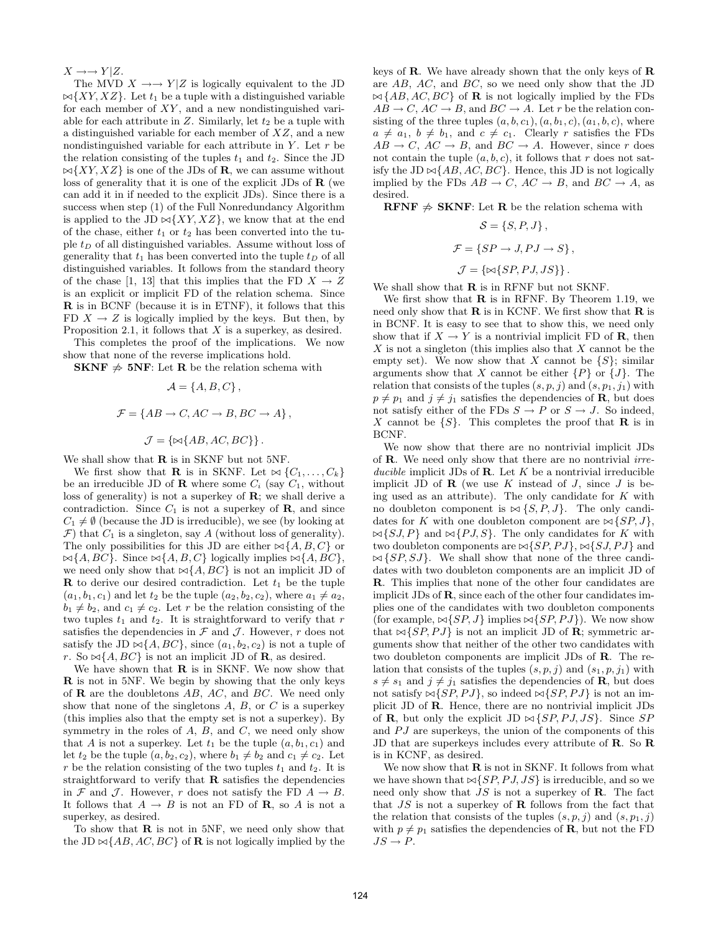$X \rightarrow Y|Z$ .

The MVD  $X \rightarrow Y|Z$  is logically equivalent to the JD  $\bowtie$ {*XY, XZ*}. Let  $t_1$  be a tuple with a distinguished variable for each member of  $XY$ , and a new nondistinguished variable for each attribute in  $Z$ . Similarly, let  $t_2$  be a tuple with a distinguished variable for each member of  $XZ$ , and a new nondistinguished variable for each attribute in  $Y$ . Let  $r$  be the relation consisting of the tuples  $t_1$  and  $t_2$ . Since the JD  $\bowtie$ {*XY, XZ*} is one of the JDs of **R**, we can assume without loss of generality that it is one of the explicit JDs of  $\bf{R}$  (we can add it in if needed to the explicit JDs). Since there is a success when step (1) of the Full Nonredundancy Algorithm is applied to the JD  $\bowtie$ {*XY, XZ*}, we know that at the end of the chase, either  $t_1$  or  $t_2$  has been converted into the tuple  $t_D$  of all distinguished variables. Assume without loss of generality that  $t_1$  has been converted into the tuple  $t_D$  of all distinguished variables. It follows from the standard theory of the chase [1, 13] that this implies that the FD  $X \to Z$ is an explicit or implicit FD of the relation schema. Since R is in BCNF (because it is in ETNF), it follows that this FD  $X \to Z$  is logically implied by the keys. But then, by Proposition 2.1, it follows that  $X$  is a superkey, as desired.

This completes the proof of the implications. We now show that none of the reverse implications hold.

**SKNF**  $\neq$  5NF: Let R be the relation schema with

$$
\mathcal{A} = \{A, B, C\}\,,
$$
  

$$
\mathcal{F} = \{AB \to C, AC \to B, BC \to A\}\,,
$$
  

$$
\mathcal{J} = \{\bowtie\{AB, AC, BC\}\}\,.
$$

We shall show that  $\bf{R}$  is in SKNF but not 5NF.

We first show that **R** is in SKNF. Let  $\bowtie$  { $C_1, \ldots, C_k$ } be an irreducible JD of **R** where some  $C_i$  (say  $C_1$ , without loss of generality) is not a superkey of  $\mathbf{R}$ ; we shall derive a contradiction. Since  $C_1$  is not a superkey of  $\mathbf{R}$ , and since  $C_1 \neq \emptyset$  (because the JD is irreducible), we see (by looking at  $\mathcal{F}$ ) that  $C_1$  is a singleton, say A (without loss of generality). The only possibilities for this JD are either  $\bowtie$  {A, B, C} or  $\bowtie$ {A, BC}. Since  $\bowtie$ {A, B, C} logically implies  $\bowtie$ {A, BC}, we need only show that  $\bowtie$ {A, BC} is not an implicit JD of **R** to derive our desired contradiction. Let  $t_1$  be the tuple  $(a_1, b_1, c_1)$  and let  $t_2$  be the tuple  $(a_2, b_2, c_2)$ , where  $a_1 \neq a_2$ ,  $b_1 \neq b_2$ , and  $c_1 \neq c_2$ . Let r be the relation consisting of the two tuples  $t_1$  and  $t_2$ . It is straightforward to verify that r satisfies the dependencies in  $\mathcal F$  and  $\mathcal J$ . However, r does not satisfy the JD  $\bowtie$ {A, BC}, since  $(a_1, b_2, c_2)$  is not a tuple of r. So  $\bowtie$ {A, BC} is not an implicit JD of **R**, as desired.

We have shown that  $\bf{R}$  is in SKNF. We now show that R is not in 5NF. We begin by showing that the only keys of  **are the doubletons**  $AB$ **,**  $AC$ **, and**  $BC$ **. We need only** show that none of the singletons  $A, B$ , or  $C$  is a superkey (this implies also that the empty set is not a superkey). By symmetry in the roles of  $A, B$ , and  $C$ , we need only show that A is not a superkey. Let  $t_1$  be the tuple  $(a, b_1, c_1)$  and let  $t_2$  be the tuple  $(a, b_2, c_2)$ , where  $b_1 \neq b_2$  and  $c_1 \neq c_2$ . Let r be the relation consisting of the two tuples  $t_1$  and  $t_2$ . It is straightforward to verify that  $\bf{R}$  satisfies the dependencies in F and J. However, r does not satisfy the FD  $A \rightarrow B$ . It follows that  $A \to B$  is not an FD of **R**, so A is not a superkey, as desired.

To show that  $\bf{R}$  is not in 5NF, we need only show that the JD  $\bowtie$ {AB, AC, BC} of **R** is not logically implied by the keys of  $\bf R$ . We have already shown that the only keys of  $\bf R$ are AB, AC, and BC, so we need only show that the JD  $\bowtie$ {AB, AC, BC} of **R** is not logically implied by the FDs  $AB \to C$ ,  $AC \to B$ , and  $BC \to A$ . Let r be the relation consisting of the three tuples  $(a, b, c_1), (a, b_1, c), (a_1, b, c)$ , where  $a \neq a_1, b \neq b_1$ , and  $c \neq c_1$ . Clearly r satisfies the FDs  $AB \rightarrow C$ ,  $AC \rightarrow B$ , and  $BC \rightarrow A$ . However, since r does not contain the tuple  $(a, b, c)$ , it follows that r does not satisfy the JD  $\bowtie$ {AB, AC, BC}. Hence, this JD is not logically implied by the FDs  $AB \to C$ ,  $AC \to B$ , and  $BC \to A$ , as desired.

RFNF  $\#$  SKNF: Let R be the relation schema with

 $\mathcal{S} = \{S, P, J\},\,$ 

$$
\mathcal{F} = \{SP \to J, PJ \to S\},\
$$

$$
\mathcal{J} = \{\bowtie\{SP, PJ, JS\}\}.
$$

We shall show that  **is in RFNF but not SKNF.** 

We first show that  $R$  is in RFNF. By Theorem 1.19, we need only show that  $\bf{R}$  is in KCNF. We first show that  $\bf{R}$  is in BCNF. It is easy to see that to show this, we need only show that if  $X \to Y$  is a nontrivial implicit FD of **R**, then  $X$  is not a singleton (this implies also that  $X$  cannot be the empty set). We now show that X cannot be  $\{S\}$ ; similar arguments show that X cannot be either  $\{P\}$  or  $\{J\}$ . The relation that consists of the tuples  $(s, p, j)$  and  $(s, p_1, j_1)$  with  $p \neq p_1$  and  $j \neq j_1$  satisfies the dependencies of **R**, but does not satisfy either of the FDs  $S \to P$  or  $S \to J$ . So indeed, X cannot be  $\{S\}$ . This completes the proof that **R** is in BCNF.

We now show that there are no nontrivial implicit JDs of R. We need only show that there are no nontrivial irreducible implicit JDs of **R**. Let  $K$  be a nontrivial irreducible implicit JD of  $\mathbf R$  (we use K instead of J, since J is being used as an attribute). The only candidate for  $K$  with no doubleton component is  $\bowtie$  {S, P, J}. The only candidates for K with one doubleton component are  $\bowtie$  {SP, J},  $\bowtie$ {SJ, P} and  $\bowtie$ {PJ, S}. The only candidates for K with two doubleton components are  $\bowtie$ {SP, PJ},  $\bowtie$ {SJ, PJ} and  $\bowtie$  {SP, SJ}. We shall show that none of the three candidates with two doubleton components are an implicit JD of R. This implies that none of the other four candidates are implicit JDs of R, since each of the other four candidates implies one of the candidates with two doubleton components (for example,  $\bowtie$ {SP, J} implies  $\bowtie$ {SP, PJ}). We now show that  $\bowtie$ {SP, PJ} is not an implicit JD of **R**; symmetric arguments show that neither of the other two candidates with two doubleton components are implicit JDs of R. The relation that consists of the tuples  $(s, p, i)$  and  $(s_1, p, i_1)$  with  $s \neq s_1$  and  $j \neq j_1$  satisfies the dependencies of **R**, but does not satisfy  $\bowtie$ {SP, PJ}, so indeed  $\bowtie$ {SP, PJ} is not an implicit JD of R. Hence, there are no nontrivial implicit JDs of **R**, but only the explicit JD  $\bowtie$  {SP, PJ, JS}. Since SP and  $PJ$  are superkeys, the union of the components of this JD that are superkeys includes every attribute of R. So R is in KCNF, as desired.

We now show that  **is not in SKNF. It follows from what** we have shown that  $\bowtie$  {SP, PJ, JS} is irreducible, and so we need only show that  $JS$  is not a superkey of **R**. The fact that  $JS$  is not a superkey of **R** follows from the fact that the relation that consists of the tuples  $(s, p, j)$  and  $(s, p_1, j)$ with  $p \neq p_1$  satisfies the dependencies of **R**, but not the FD  $JS \rightarrow P.$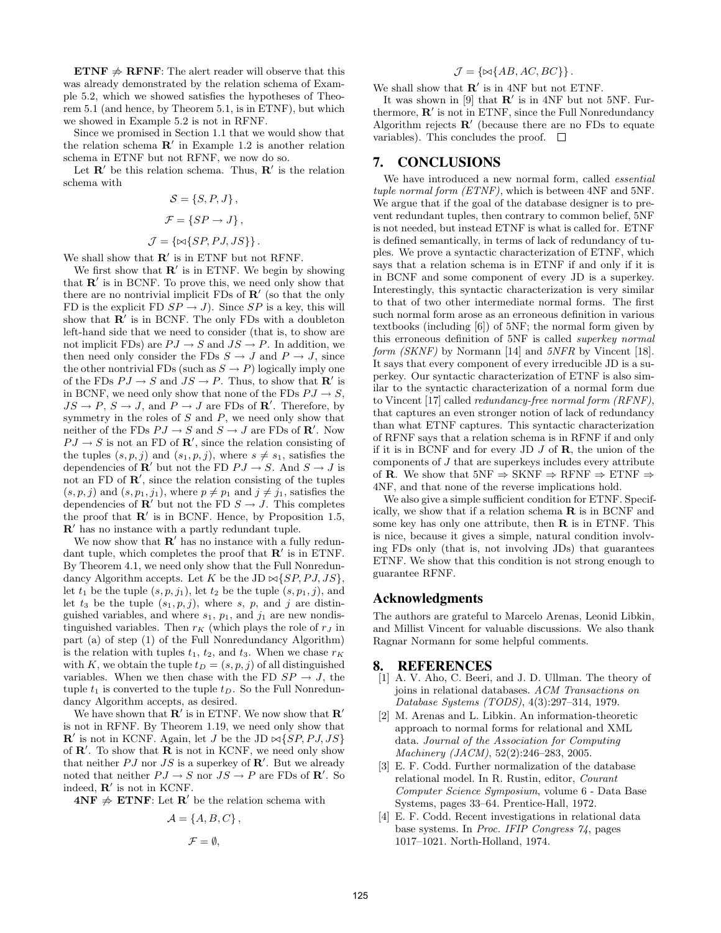**ETNF**  $\neq$  **RFNF**: The alert reader will observe that this was already demonstrated by the relation schema of Example 5.2, which we showed satisfies the hypotheses of Theorem 5.1 (and hence, by Theorem 5.1, is in ETNF), but which we showed in Example 5.2 is not in RFNF.

Since we promised in Section 1.1 that we would show that the relation schema  $\mathbb{R}'$  in Example 1.2 is another relation schema in ETNF but not RFNF, we now do so.

Let  $\mathbf{R}'$  be this relation schema. Thus,  $\mathbf{R}'$  is the relation schema with

$$
S = \{S, P, J\},\
$$

$$
\mathcal{F} = \{SP \rightarrow J\},\
$$

$$
\mathcal{J} = \{\bowtie\{SP, PJ, JS\}\}.
$$

We shall show that  $\mathbb{R}'$  is in ETNF but not RFNF.

We first show that  $\mathbf{R}'$  is in ETNF. We begin by showing that  $\mathbb{R}'$  is in BCNF. To prove this, we need only show that there are no nontrivial implicit  $FDS$  of  $\mathbb{R}'$  (so that the only FD is the explicit FD  $SP \rightarrow J$ ). Since  $SP$  is a key, this will show that  $\overline{\mathbb{R}}'$  is in BCNF. The only FDs with a doubleton left-hand side that we need to consider (that is, to show are not implicit FDs) are  $PJ \to S$  and  $JS \to P$ . In addition, we then need only consider the FDs  $S \to J$  and  $P \to J$ , since the other nontrivial FDs (such as  $S \to P$ ) logically imply one of the FDs  $PJ \to S$  and  $JS \to P$ . Thus, to show that  $\mathbb{R}'$  is in BCNF, we need only show that none of the FDs  $PJ \rightarrow S$ ,  $JS \to P$ ,  $S \to J$ , and  $P \to J$  are FDs of  $\mathbb{R}'$ . Therefore, by symmetry in the roles of  $S$  and  $P$ , we need only show that neither of the FDs  $PJ \to S$  and  $S \to J$  are FDs of **R'**. Now  $PJ \rightarrow S$  is not an FD of  $\mathbb{R}'$ , since the relation consisting of the tuples  $(s, p, j)$  and  $(s_1, p, j)$ , where  $s \neq s_1$ , satisfies the dependencies of  $\mathbb{R}'$  but not the FD  $PJ \to S$ . And  $S \to J$  is not an FD of  $\mathbb{R}'$ , since the relation consisting of the tuples  $(s, p, j)$  and  $(s, p_1, j_1)$ , where  $p \neq p_1$  and  $j \neq j_1$ , satisfies the dependencies of  $\mathbb{R}^{\prime}$  but not the FD  $S \rightarrow J$ . This completes the proof that  $\mathbb{R}'$  is in BCNF. Hence, by Proposition 1.5,  $\mathbb{R}^{\prime}$  has no instance with a partly redundant tuple.

We now show that  $\mathbb{R}'$  has no instance with a fully redundant tuple, which completes the proof that  $\mathbb{R}'$  is in ETNF. By Theorem 4.1, we need only show that the Full Nonredundancy Algorithm accepts. Let K be the JD  $\bowtie$  {SP, PJ, JS}, let  $t_1$  be the tuple  $(s, p, j_1)$ , let  $t_2$  be the tuple  $(s, p_1, j)$ , and let  $t_3$  be the tuple  $(s_1, p, j)$ , where s, p, and j are distinguished variables, and where  $s_1$ ,  $p_1$ , and  $j_1$  are new nondistinguished variables. Then  $r_K$  (which plays the role of  $r_J$  in part (a) of step (1) of the Full Nonredundancy Algorithm) is the relation with tuples  $t_1$ ,  $t_2$ , and  $t_3$ . When we chase  $r_K$ with K, we obtain the tuple  $t_D = (s, p, j)$  of all distinguished variables. When we then chase with the FD  $SP \rightarrow J$ , the tuple  $t_1$  is converted to the tuple  $t_D$ . So the Full Nonredundancy Algorithm accepts, as desired.

We have shown that  $\mathbf{R}'$  is in ETNF. We now show that  $\mathbf{R}'$ is not in RFNF. By Theorem 1.19, we need only show that  $\mathbb{R}^{\prime}$  is not in KCNF. Again, let J be the JD  $\bowtie$ {SP, PJ, JS} of  $\mathbb{R}'$ . To show that  $\mathbb{R}$  is not in KCNF, we need only show that neither PJ nor JS is a superkey of  $\mathbb{R}'$ . But we already noted that neither  $PJ \to S$  nor  $JS \to P$  are FDs of **R'**. So indeed,  $\mathbf{R}'$  is not in KCNF.

 $4NF \nless \text{ETNF: Let } R'$  be the relation schema with

$$
\mathcal{A} = \{A, B, C\},\
$$

$$
\mathcal{F} = \emptyset,
$$

$$
\mathcal{J} = \{ \bowtie \{AB, AC, BC\} \}.
$$

We shall show that  $\mathbb{R}'$  is in 4NF but not ETNF.

It was shown in [9] that  $\mathbb{R}'$  is in 4NF but not 5NF. Furthermore,  $\mathbf{R}'$  is not in ETNF, since the Full Nonredundancy Algorithm rejects  $\mathbf{R}'$  (because there are no FDs to equate variables). This concludes the proof.  $\Box$ 

## 7. CONCLUSIONS

We have introduced a new normal form, called *essential* tuple normal form (ETNF), which is between 4NF and 5NF. We argue that if the goal of the database designer is to prevent redundant tuples, then contrary to common belief, 5NF is not needed, but instead ETNF is what is called for. ETNF is defined semantically, in terms of lack of redundancy of tuples. We prove a syntactic characterization of ETNF, which says that a relation schema is in ETNF if and only if it is in BCNF and some component of every JD is a superkey. Interestingly, this syntactic characterization is very similar to that of two other intermediate normal forms. The first such normal form arose as an erroneous definition in various textbooks (including [6]) of 5NF; the normal form given by this erroneous definition of 5NF is called superkey normal form (SKNF) by Normann [14] and 5NFR by Vincent [18]. It says that every component of every irreducible JD is a superkey. Our syntactic characterization of ETNF is also similar to the syntactic characterization of a normal form due to Vincent [17] called redundancy-free normal form (RFNF), that captures an even stronger notion of lack of redundancy than what ETNF captures. This syntactic characterization of RFNF says that a relation schema is in RFNF if and only if it is in BCNF and for every JD  $J$  of  $\bf{R}$ , the union of the components of J that are superkeys includes every attribute of **R**. We show that  $5NF \Rightarrow SKNF \Rightarrow RFNF \Rightarrow ETNF \Rightarrow$ 4NF, and that none of the reverse implications hold.

We also give a simple sufficient condition for ETNF. Specifically, we show that if a relation schema  $\bf{R}$  is in BCNF and some key has only one attribute, then  $\bf{R}$  is in ETNF. This is nice, because it gives a simple, natural condition involving FDs only (that is, not involving JDs) that guarantees ETNF. We show that this condition is not strong enough to guarantee RFNF.

#### Acknowledgments

The authors are grateful to Marcelo Arenas, Leonid Libkin, and Millist Vincent for valuable discussions. We also thank Ragnar Normann for some helpful comments.

#### 8. REFERENCES

- [1] A. V. Aho, C. Beeri, and J. D. Ullman. The theory of joins in relational databases. ACM Transactions on Database Systems (TODS), 4(3):297–314, 1979.
- [2] M. Arenas and L. Libkin. An information-theoretic approach to normal forms for relational and XML data. Journal of the Association for Computing Machinery (JACM), 52(2):246–283, 2005.
- [3] E. F. Codd. Further normalization of the database relational model. In R. Rustin, editor, Courant Computer Science Symposium, volume 6 - Data Base Systems, pages 33–64. Prentice-Hall, 1972.
- [4] E. F. Codd. Recent investigations in relational data base systems. In Proc. IFIP Congress 74, pages 1017–1021. North-Holland, 1974.